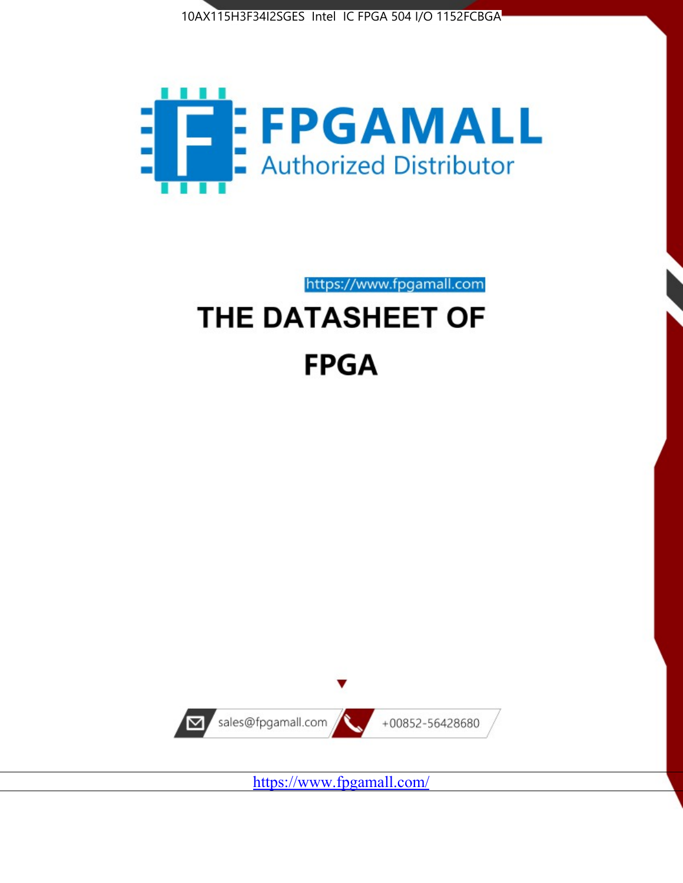



https://www.fpgamall.com

# THE DATASHEET OF **FPGA**



<https://www.fpgamall.com/>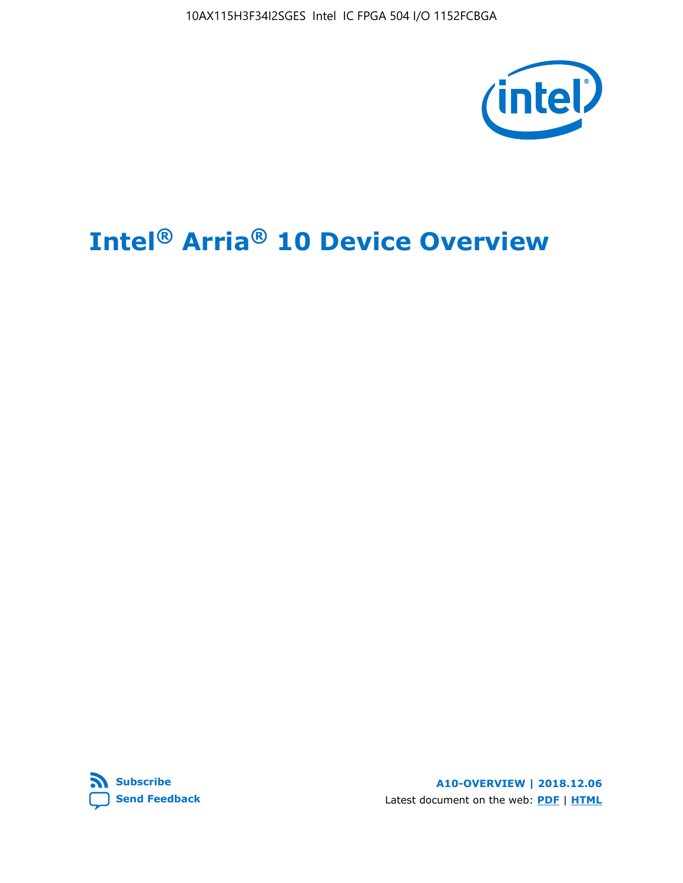10AX115H3F34I2SGES Intel IC FPGA 504 I/O 1152FCBGA



# **Intel® Arria® 10 Device Overview**



**A10-OVERVIEW | 2018.12.06** Latest document on the web: **[PDF](https://www.intel.com/content/dam/www/programmable/us/en/pdfs/literature/hb/arria-10/a10_overview.pdf)** | **[HTML](https://www.intel.com/content/www/us/en/programmable/documentation/sam1403480274650.html)**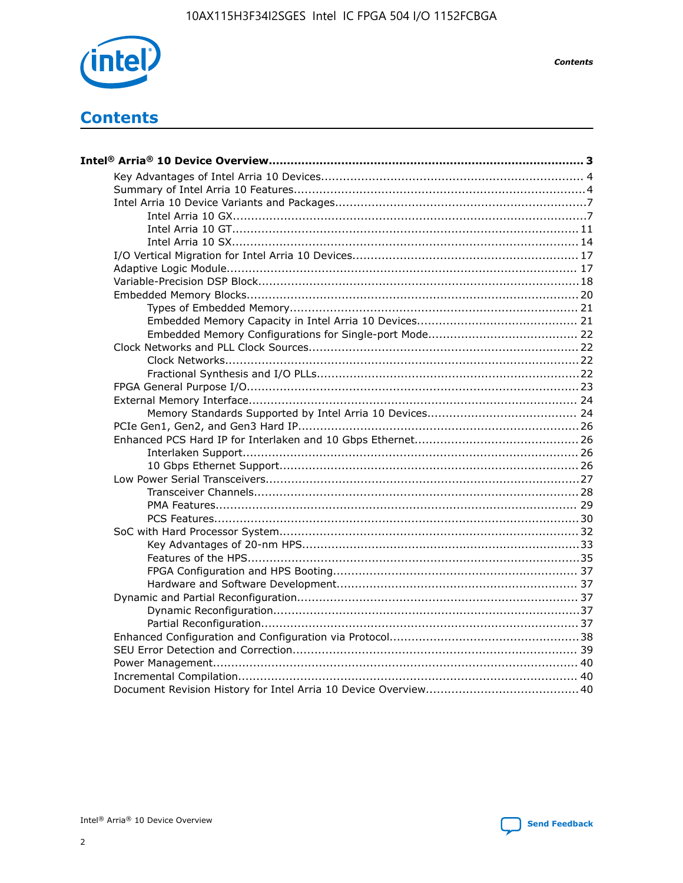

**Contents** 

# **Contents**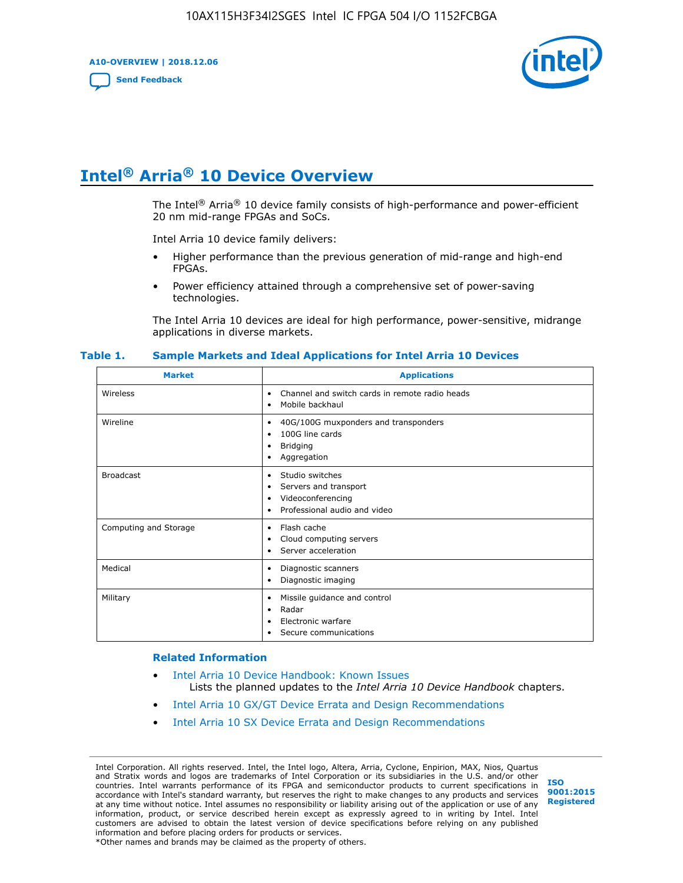**A10-OVERVIEW | 2018.12.06**

**[Send Feedback](mailto:FPGAtechdocfeedback@intel.com?subject=Feedback%20on%20Intel%20Arria%2010%20Device%20Overview%20(A10-OVERVIEW%202018.12.06)&body=We%20appreciate%20your%20feedback.%20In%20your%20comments,%20also%20specify%20the%20page%20number%20or%20paragraph.%20Thank%20you.)**



# **Intel® Arria® 10 Device Overview**

The Intel<sup>®</sup> Arria<sup>®</sup> 10 device family consists of high-performance and power-efficient 20 nm mid-range FPGAs and SoCs.

Intel Arria 10 device family delivers:

- Higher performance than the previous generation of mid-range and high-end FPGAs.
- Power efficiency attained through a comprehensive set of power-saving technologies.

The Intel Arria 10 devices are ideal for high performance, power-sensitive, midrange applications in diverse markets.

| <b>Market</b>         | <b>Applications</b>                                                                                               |
|-----------------------|-------------------------------------------------------------------------------------------------------------------|
| Wireless              | Channel and switch cards in remote radio heads<br>٠<br>Mobile backhaul<br>٠                                       |
| Wireline              | 40G/100G muxponders and transponders<br>٠<br>100G line cards<br>٠<br><b>Bridging</b><br>٠<br>Aggregation<br>٠     |
| <b>Broadcast</b>      | Studio switches<br>٠<br>Servers and transport<br>٠<br>Videoconferencing<br>٠<br>Professional audio and video<br>٠ |
| Computing and Storage | Flash cache<br>٠<br>Cloud computing servers<br>٠<br>Server acceleration<br>٠                                      |
| Medical               | Diagnostic scanners<br>٠<br>Diagnostic imaging<br>٠                                                               |
| Military              | Missile guidance and control<br>٠<br>Radar<br>٠<br>Electronic warfare<br>٠<br>Secure communications<br>٠          |

#### **Table 1. Sample Markets and Ideal Applications for Intel Arria 10 Devices**

#### **Related Information**

- [Intel Arria 10 Device Handbook: Known Issues](http://www.altera.com/support/kdb/solutions/rd07302013_646.html) Lists the planned updates to the *Intel Arria 10 Device Handbook* chapters.
- [Intel Arria 10 GX/GT Device Errata and Design Recommendations](https://www.intel.com/content/www/us/en/programmable/documentation/agz1493851706374.html#yqz1494433888646)
- [Intel Arria 10 SX Device Errata and Design Recommendations](https://www.intel.com/content/www/us/en/programmable/documentation/cru1462832385668.html#cru1462832558642)

Intel Corporation. All rights reserved. Intel, the Intel logo, Altera, Arria, Cyclone, Enpirion, MAX, Nios, Quartus and Stratix words and logos are trademarks of Intel Corporation or its subsidiaries in the U.S. and/or other countries. Intel warrants performance of its FPGA and semiconductor products to current specifications in accordance with Intel's standard warranty, but reserves the right to make changes to any products and services at any time without notice. Intel assumes no responsibility or liability arising out of the application or use of any information, product, or service described herein except as expressly agreed to in writing by Intel. Intel customers are advised to obtain the latest version of device specifications before relying on any published information and before placing orders for products or services. \*Other names and brands may be claimed as the property of others.

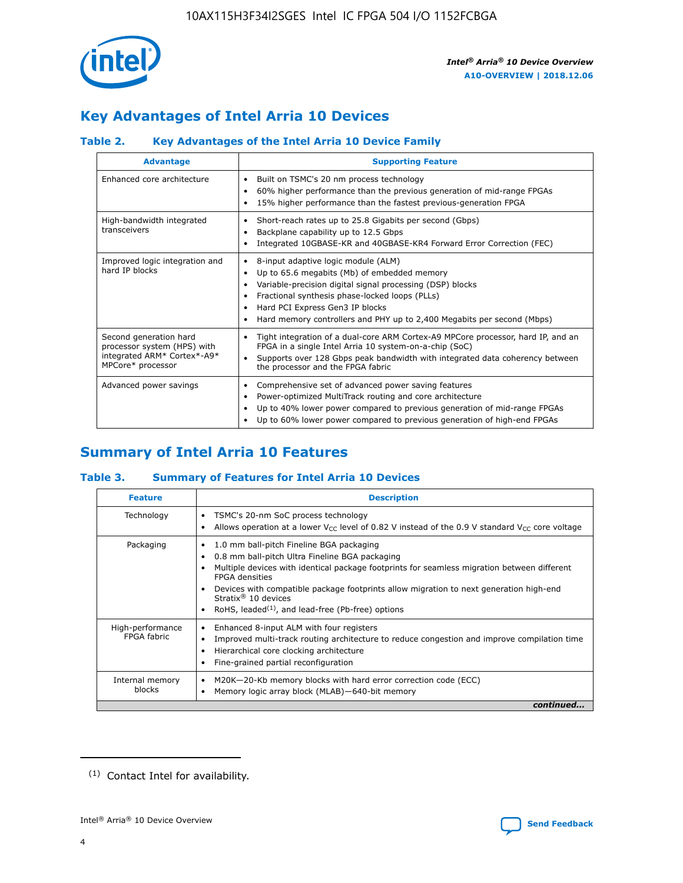

# **Key Advantages of Intel Arria 10 Devices**

## **Table 2. Key Advantages of the Intel Arria 10 Device Family**

| <b>Advantage</b>                                                                                          | <b>Supporting Feature</b>                                                                                                                                                                                                                                                                                                     |
|-----------------------------------------------------------------------------------------------------------|-------------------------------------------------------------------------------------------------------------------------------------------------------------------------------------------------------------------------------------------------------------------------------------------------------------------------------|
| Enhanced core architecture                                                                                | Built on TSMC's 20 nm process technology<br>٠<br>60% higher performance than the previous generation of mid-range FPGAs<br>٠<br>15% higher performance than the fastest previous-generation FPGA<br>٠                                                                                                                         |
| High-bandwidth integrated<br>transceivers                                                                 | Short-reach rates up to 25.8 Gigabits per second (Gbps)<br>٠<br>Backplane capability up to 12.5 Gbps<br>٠<br>Integrated 10GBASE-KR and 40GBASE-KR4 Forward Error Correction (FEC)<br>٠                                                                                                                                        |
| Improved logic integration and<br>hard IP blocks                                                          | 8-input adaptive logic module (ALM)<br>٠<br>Up to 65.6 megabits (Mb) of embedded memory<br>٠<br>Variable-precision digital signal processing (DSP) blocks<br>Fractional synthesis phase-locked loops (PLLs)<br>٠<br>Hard PCI Express Gen3 IP blocks<br>Hard memory controllers and PHY up to 2,400 Megabits per second (Mbps) |
| Second generation hard<br>processor system (HPS) with<br>integrated ARM* Cortex*-A9*<br>MPCore* processor | Tight integration of a dual-core ARM Cortex-A9 MPCore processor, hard IP, and an<br>٠<br>FPGA in a single Intel Arria 10 system-on-a-chip (SoC)<br>Supports over 128 Gbps peak bandwidth with integrated data coherency between<br>$\bullet$<br>the processor and the FPGA fabric                                             |
| Advanced power savings                                                                                    | Comprehensive set of advanced power saving features<br>٠<br>Power-optimized MultiTrack routing and core architecture<br>٠<br>Up to 40% lower power compared to previous generation of mid-range FPGAs<br>٠<br>Up to 60% lower power compared to previous generation of high-end FPGAs<br>٠                                    |

# **Summary of Intel Arria 10 Features**

## **Table 3. Summary of Features for Intel Arria 10 Devices**

| <b>Feature</b>                  | <b>Description</b>                                                                                                                                                                                                                                                                                                                                                                                 |
|---------------------------------|----------------------------------------------------------------------------------------------------------------------------------------------------------------------------------------------------------------------------------------------------------------------------------------------------------------------------------------------------------------------------------------------------|
| Technology                      | TSMC's 20-nm SoC process technology<br>Allows operation at a lower $V_{\text{CC}}$ level of 0.82 V instead of the 0.9 V standard $V_{\text{CC}}$ core voltage                                                                                                                                                                                                                                      |
| Packaging                       | 1.0 mm ball-pitch Fineline BGA packaging<br>٠<br>0.8 mm ball-pitch Ultra Fineline BGA packaging<br>Multiple devices with identical package footprints for seamless migration between different<br><b>FPGA</b> densities<br>Devices with compatible package footprints allow migration to next generation high-end<br>Stratix $@10$ devices<br>RoHS, leaded $(1)$ , and lead-free (Pb-free) options |
| High-performance<br>FPGA fabric | Enhanced 8-input ALM with four registers<br>Improved multi-track routing architecture to reduce congestion and improve compilation time<br>Hierarchical core clocking architecture<br>Fine-grained partial reconfiguration                                                                                                                                                                         |
| Internal memory<br>blocks       | M20K-20-Kb memory blocks with hard error correction code (ECC)<br>Memory logic array block (MLAB)-640-bit memory                                                                                                                                                                                                                                                                                   |
|                                 | continued                                                                                                                                                                                                                                                                                                                                                                                          |



<sup>(1)</sup> Contact Intel for availability.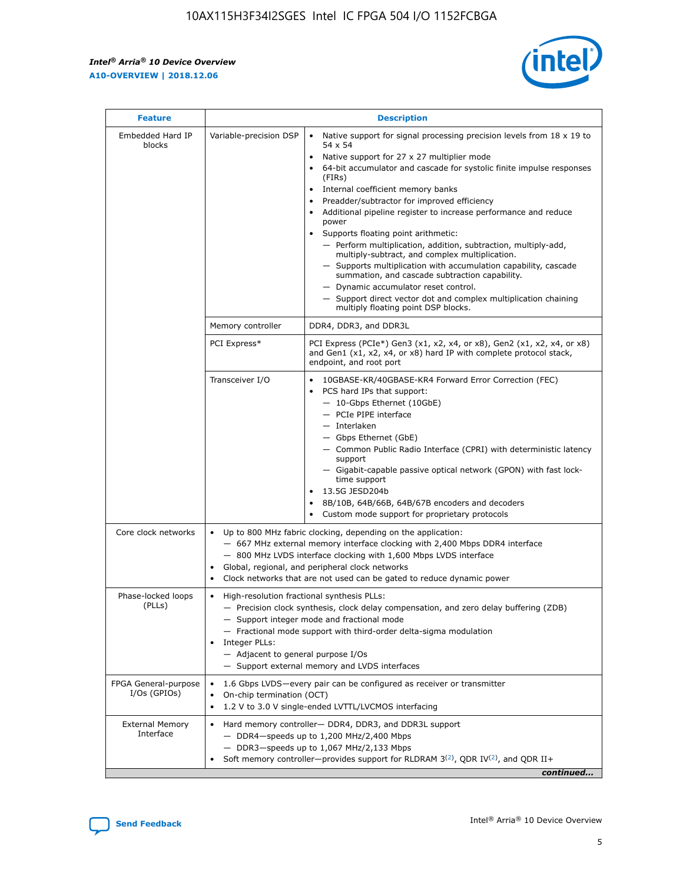r



| <b>Feature</b>                         |                                                                                                                | <b>Description</b>                                                                                                                                                                                                                                                                                                                                                                                                                                                                                                                                                                                                                                                                                                                                                                                                                     |  |  |  |  |  |  |
|----------------------------------------|----------------------------------------------------------------------------------------------------------------|----------------------------------------------------------------------------------------------------------------------------------------------------------------------------------------------------------------------------------------------------------------------------------------------------------------------------------------------------------------------------------------------------------------------------------------------------------------------------------------------------------------------------------------------------------------------------------------------------------------------------------------------------------------------------------------------------------------------------------------------------------------------------------------------------------------------------------------|--|--|--|--|--|--|
| Embedded Hard IP<br>blocks             | Variable-precision DSP                                                                                         | Native support for signal processing precision levels from $18 \times 19$ to<br>54 x 54<br>Native support for 27 x 27 multiplier mode<br>64-bit accumulator and cascade for systolic finite impulse responses<br>(FIRs)<br>Internal coefficient memory banks<br>$\bullet$<br>Preadder/subtractor for improved efficiency<br>Additional pipeline register to increase performance and reduce<br>power<br>Supports floating point arithmetic:<br>- Perform multiplication, addition, subtraction, multiply-add,<br>multiply-subtract, and complex multiplication.<br>- Supports multiplication with accumulation capability, cascade<br>summation, and cascade subtraction capability.<br>- Dynamic accumulator reset control.<br>- Support direct vector dot and complex multiplication chaining<br>multiply floating point DSP blocks. |  |  |  |  |  |  |
|                                        | Memory controller                                                                                              | DDR4, DDR3, and DDR3L                                                                                                                                                                                                                                                                                                                                                                                                                                                                                                                                                                                                                                                                                                                                                                                                                  |  |  |  |  |  |  |
|                                        | PCI Express*                                                                                                   | PCI Express (PCIe*) Gen3 (x1, x2, x4, or x8), Gen2 (x1, x2, x4, or x8)<br>and Gen1 (x1, x2, x4, or x8) hard IP with complete protocol stack,<br>endpoint, and root port                                                                                                                                                                                                                                                                                                                                                                                                                                                                                                                                                                                                                                                                |  |  |  |  |  |  |
|                                        | Transceiver I/O                                                                                                | 10GBASE-KR/40GBASE-KR4 Forward Error Correction (FEC)<br>PCS hard IPs that support:<br>$\bullet$<br>- 10-Gbps Ethernet (10GbE)<br>- PCIe PIPE interface<br>$-$ Interlaken<br>- Gbps Ethernet (GbE)<br>- Common Public Radio Interface (CPRI) with deterministic latency<br>support<br>- Gigabit-capable passive optical network (GPON) with fast lock-<br>time support<br>13.5G JESD204b<br>$\bullet$<br>8B/10B, 64B/66B, 64B/67B encoders and decoders<br>Custom mode support for proprietary protocols                                                                                                                                                                                                                                                                                                                               |  |  |  |  |  |  |
| Core clock networks                    | $\bullet$<br>$\bullet$                                                                                         | Up to 800 MHz fabric clocking, depending on the application:<br>- 667 MHz external memory interface clocking with 2,400 Mbps DDR4 interface<br>- 800 MHz LVDS interface clocking with 1,600 Mbps LVDS interface<br>Global, regional, and peripheral clock networks<br>Clock networks that are not used can be gated to reduce dynamic power                                                                                                                                                                                                                                                                                                                                                                                                                                                                                            |  |  |  |  |  |  |
| Phase-locked loops<br>(PLLs)           | High-resolution fractional synthesis PLLs:<br>$\bullet$<br>Integer PLLs:<br>- Adjacent to general purpose I/Os | - Precision clock synthesis, clock delay compensation, and zero delay buffering (ZDB)<br>- Support integer mode and fractional mode<br>- Fractional mode support with third-order delta-sigma modulation<br>- Support external memory and LVDS interfaces                                                                                                                                                                                                                                                                                                                                                                                                                                                                                                                                                                              |  |  |  |  |  |  |
| FPGA General-purpose<br>$I/Os$ (GPIOs) | On-chip termination (OCT)                                                                                      | 1.6 Gbps LVDS-every pair can be configured as receiver or transmitter<br>1.2 V to 3.0 V single-ended LVTTL/LVCMOS interfacing                                                                                                                                                                                                                                                                                                                                                                                                                                                                                                                                                                                                                                                                                                          |  |  |  |  |  |  |
| <b>External Memory</b><br>Interface    |                                                                                                                | Hard memory controller- DDR4, DDR3, and DDR3L support<br>$-$ DDR4 $-$ speeds up to 1,200 MHz/2,400 Mbps<br>- DDR3-speeds up to 1,067 MHz/2,133 Mbps<br>Soft memory controller—provides support for RLDRAM $3^{(2)}$ , QDR IV $^{(2)}$ , and QDR II+<br>continued                                                                                                                                                                                                                                                                                                                                                                                                                                                                                                                                                                       |  |  |  |  |  |  |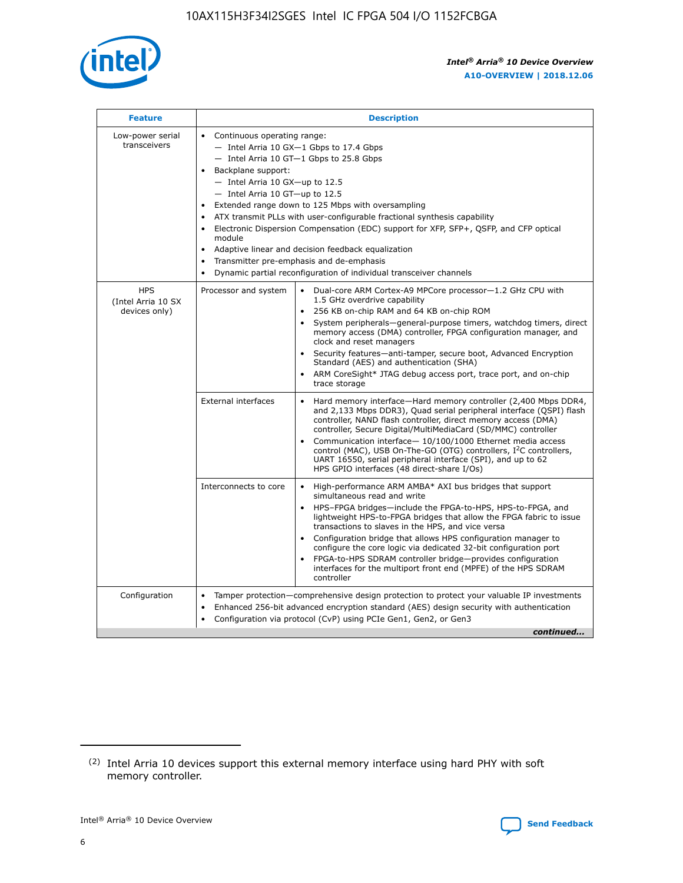

| <b>Feature</b>                                    | <b>Description</b>                                                                                                                                                                                                                                                                                                                                                                                                                                                                                                                                                                                                                         |  |  |  |  |  |  |
|---------------------------------------------------|--------------------------------------------------------------------------------------------------------------------------------------------------------------------------------------------------------------------------------------------------------------------------------------------------------------------------------------------------------------------------------------------------------------------------------------------------------------------------------------------------------------------------------------------------------------------------------------------------------------------------------------------|--|--|--|--|--|--|
| Low-power serial<br>transceivers                  | • Continuous operating range:<br>- Intel Arria 10 GX-1 Gbps to 17.4 Gbps<br>- Intel Arria 10 GT-1 Gbps to 25.8 Gbps<br>Backplane support:<br>$-$ Intel Arria 10 GX-up to 12.5<br>- Intel Arria 10 GT-up to 12.5<br>Extended range down to 125 Mbps with oversampling<br>ATX transmit PLLs with user-configurable fractional synthesis capability<br>Electronic Dispersion Compensation (EDC) support for XFP, SFP+, QSFP, and CFP optical<br>module<br>• Adaptive linear and decision feedback equalization<br>Transmitter pre-emphasis and de-emphasis<br>$\bullet$<br>Dynamic partial reconfiguration of individual transceiver channels |  |  |  |  |  |  |
| <b>HPS</b><br>(Intel Arria 10 SX<br>devices only) | Dual-core ARM Cortex-A9 MPCore processor-1.2 GHz CPU with<br>Processor and system<br>$\bullet$<br>1.5 GHz overdrive capability<br>256 KB on-chip RAM and 64 KB on-chip ROM<br>System peripherals-general-purpose timers, watchdog timers, direct<br>memory access (DMA) controller, FPGA configuration manager, and<br>clock and reset managers<br>Security features-anti-tamper, secure boot, Advanced Encryption<br>$\bullet$<br>Standard (AES) and authentication (SHA)<br>ARM CoreSight* JTAG debug access port, trace port, and on-chip<br>trace storage                                                                              |  |  |  |  |  |  |
|                                                   | <b>External interfaces</b><br>Hard memory interface-Hard memory controller (2,400 Mbps DDR4,<br>$\bullet$<br>and 2,133 Mbps DDR3), Quad serial peripheral interface (QSPI) flash<br>controller, NAND flash controller, direct memory access (DMA)<br>controller, Secure Digital/MultiMediaCard (SD/MMC) controller<br>Communication interface-10/100/1000 Ethernet media access<br>$\bullet$<br>control (MAC), USB On-The-GO (OTG) controllers, I <sup>2</sup> C controllers,<br>UART 16550, serial peripheral interface (SPI), and up to 62<br>HPS GPIO interfaces (48 direct-share I/Os)                                                 |  |  |  |  |  |  |
|                                                   | High-performance ARM AMBA* AXI bus bridges that support<br>Interconnects to core<br>$\bullet$<br>simultaneous read and write<br>HPS-FPGA bridges-include the FPGA-to-HPS, HPS-to-FPGA, and<br>$\bullet$<br>lightweight HPS-to-FPGA bridges that allow the FPGA fabric to issue<br>transactions to slaves in the HPS, and vice versa<br>Configuration bridge that allows HPS configuration manager to<br>configure the core logic via dedicated 32-bit configuration port<br>FPGA-to-HPS SDRAM controller bridge-provides configuration<br>interfaces for the multiport front end (MPFE) of the HPS SDRAM<br>controller                     |  |  |  |  |  |  |
| Configuration                                     | Tamper protection—comprehensive design protection to protect your valuable IP investments<br>Enhanced 256-bit advanced encryption standard (AES) design security with authentication<br>٠<br>Configuration via protocol (CvP) using PCIe Gen1, Gen2, or Gen3<br>continued                                                                                                                                                                                                                                                                                                                                                                  |  |  |  |  |  |  |

<sup>(2)</sup> Intel Arria 10 devices support this external memory interface using hard PHY with soft memory controller.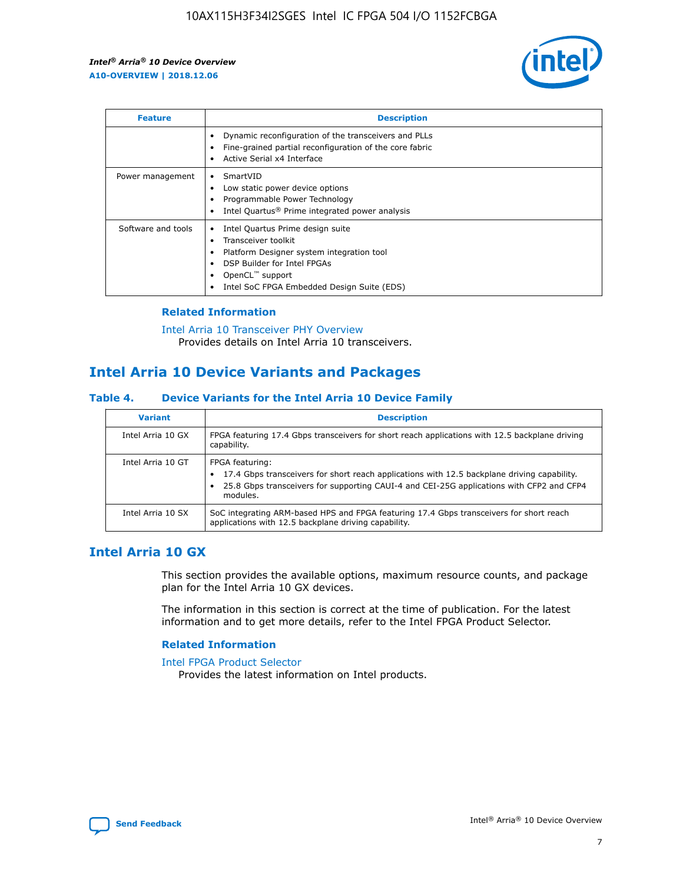

| <b>Feature</b>     | <b>Description</b>                                                                                                                                                                                                    |
|--------------------|-----------------------------------------------------------------------------------------------------------------------------------------------------------------------------------------------------------------------|
|                    | Dynamic reconfiguration of the transceivers and PLLs<br>Fine-grained partial reconfiguration of the core fabric<br>Active Serial x4 Interface                                                                         |
| Power management   | SmartVID<br>Low static power device options<br>Programmable Power Technology<br>Intel Quartus <sup>®</sup> Prime integrated power analysis                                                                            |
| Software and tools | Intel Quartus Prime design suite<br>Transceiver toolkit<br>٠<br>Platform Designer system integration tool<br>DSP Builder for Intel FPGAs<br>OpenCL <sup>™</sup> support<br>Intel SoC FPGA Embedded Design Suite (EDS) |

## **Related Information**

[Intel Arria 10 Transceiver PHY Overview](https://www.intel.com/content/www/us/en/programmable/documentation/nik1398707230472.html#nik1398706768037) Provides details on Intel Arria 10 transceivers.

## **Intel Arria 10 Device Variants and Packages**

#### **Table 4. Device Variants for the Intel Arria 10 Device Family**

| <b>Variant</b>    | <b>Description</b>                                                                                                                                                                                                     |
|-------------------|------------------------------------------------------------------------------------------------------------------------------------------------------------------------------------------------------------------------|
| Intel Arria 10 GX | FPGA featuring 17.4 Gbps transceivers for short reach applications with 12.5 backplane driving<br>capability.                                                                                                          |
| Intel Arria 10 GT | FPGA featuring:<br>17.4 Gbps transceivers for short reach applications with 12.5 backplane driving capability.<br>25.8 Gbps transceivers for supporting CAUI-4 and CEI-25G applications with CFP2 and CFP4<br>modules. |
| Intel Arria 10 SX | SoC integrating ARM-based HPS and FPGA featuring 17.4 Gbps transceivers for short reach<br>applications with 12.5 backplane driving capability.                                                                        |

## **Intel Arria 10 GX**

This section provides the available options, maximum resource counts, and package plan for the Intel Arria 10 GX devices.

The information in this section is correct at the time of publication. For the latest information and to get more details, refer to the Intel FPGA Product Selector.

#### **Related Information**

#### [Intel FPGA Product Selector](http://www.altera.com/products/selector/psg-selector.html) Provides the latest information on Intel products.

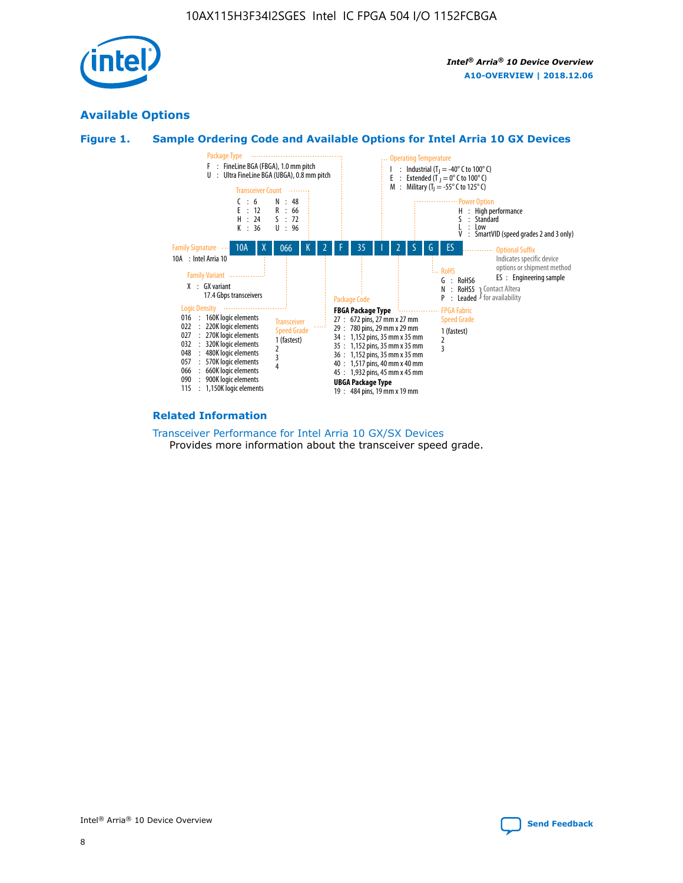

## **Available Options**





#### **Related Information**

[Transceiver Performance for Intel Arria 10 GX/SX Devices](https://www.intel.com/content/www/us/en/programmable/documentation/mcn1413182292568.html#mcn1413213965502) Provides more information about the transceiver speed grade.

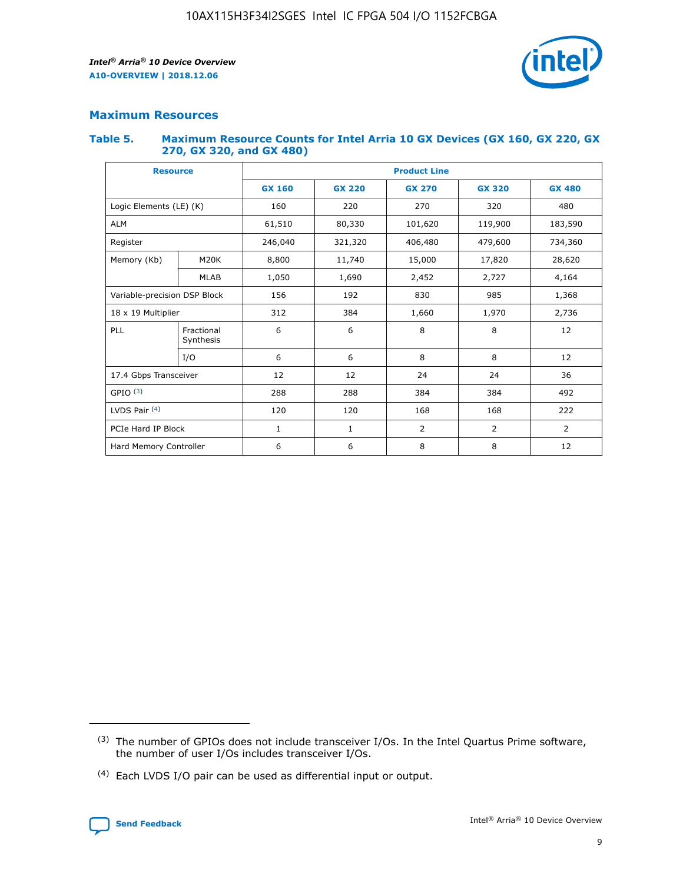

## **Maximum Resources**

#### **Table 5. Maximum Resource Counts for Intel Arria 10 GX Devices (GX 160, GX 220, GX 270, GX 320, and GX 480)**

| <b>Resource</b>         |                                                          | <b>Product Line</b> |                                                 |                |                |                |  |  |  |
|-------------------------|----------------------------------------------------------|---------------------|-------------------------------------------------|----------------|----------------|----------------|--|--|--|
|                         |                                                          | <b>GX 160</b>       | <b>GX 220</b><br><b>GX 270</b><br><b>GX 320</b> |                |                | <b>GX 480</b>  |  |  |  |
| Logic Elements (LE) (K) |                                                          | 160                 | 220                                             | 270            | 320            | 480            |  |  |  |
| <b>ALM</b>              |                                                          | 61,510              | 80,330                                          | 101,620        | 119,900        | 183,590        |  |  |  |
| Register                |                                                          | 246,040             | 321,320                                         | 406,480        | 479,600        | 734,360        |  |  |  |
| Memory (Kb)             | M <sub>20</sub> K                                        | 8,800               | 11,740                                          | 15,000         | 17,820         | 28,620         |  |  |  |
|                         | <b>MLAB</b>                                              | 1,050               | 1,690<br>2,452                                  |                | 2,727          | 4,164          |  |  |  |
|                         | 985<br>Variable-precision DSP Block<br>156<br>192<br>830 |                     |                                                 |                |                | 1,368          |  |  |  |
| 18 x 19 Multiplier      |                                                          | 312                 | 384                                             | 1,660<br>1,970 |                | 2,736          |  |  |  |
| PLL                     | Fractional<br>Synthesis                                  | 6                   | 6                                               | 8              | 8              | 12             |  |  |  |
|                         | I/O                                                      | 6                   | 6                                               | 8              | 8              | 12             |  |  |  |
| 17.4 Gbps Transceiver   |                                                          | 12                  | 12                                              | 24             | 24             | 36             |  |  |  |
| GPIO <sup>(3)</sup>     |                                                          | 288                 | 288                                             | 384<br>384     |                | 492            |  |  |  |
| LVDS Pair $(4)$         |                                                          | 120                 | 120                                             | 168            | 168            | 222            |  |  |  |
| PCIe Hard IP Block      |                                                          | $\mathbf{1}$        | 1                                               | $\overline{2}$ | $\overline{2}$ | $\overline{2}$ |  |  |  |
| Hard Memory Controller  |                                                          | 6                   | 6                                               | 8              | 8              | 12             |  |  |  |

<sup>(4)</sup> Each LVDS I/O pair can be used as differential input or output.



<sup>(3)</sup> The number of GPIOs does not include transceiver I/Os. In the Intel Quartus Prime software, the number of user I/Os includes transceiver I/Os.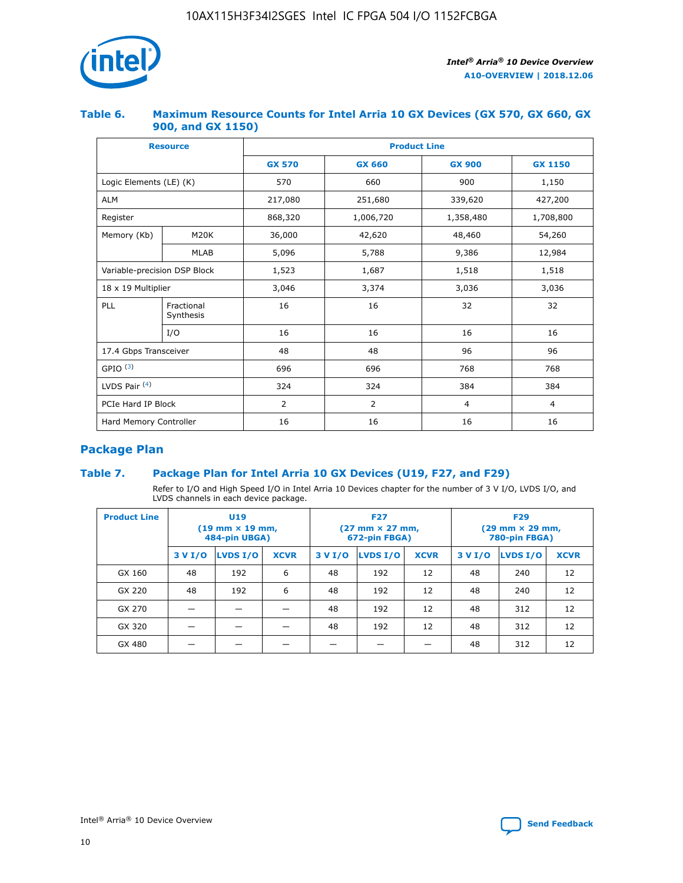

### **Table 6. Maximum Resource Counts for Intel Arria 10 GX Devices (GX 570, GX 660, GX 900, and GX 1150)**

|                              | <b>Resource</b>         | <b>Product Line</b> |                |                |                |  |  |  |
|------------------------------|-------------------------|---------------------|----------------|----------------|----------------|--|--|--|
|                              |                         | <b>GX 570</b>       | <b>GX 660</b>  |                | <b>GX 1150</b> |  |  |  |
| Logic Elements (LE) (K)      |                         | 570                 | 660            | 900            | 1,150          |  |  |  |
| <b>ALM</b>                   |                         | 217,080             | 251,680        | 339,620        | 427,200        |  |  |  |
| Register                     |                         | 868,320             | 1,006,720      | 1,358,480      | 1,708,800      |  |  |  |
| Memory (Kb)                  | <b>M20K</b>             | 36,000              | 42,620         | 48,460         | 54,260         |  |  |  |
|                              | <b>MLAB</b>             | 5,096               | 5,788          |                | 12,984         |  |  |  |
| Variable-precision DSP Block |                         | 1,523               | 1,687          | 1,518          | 1,518          |  |  |  |
| $18 \times 19$ Multiplier    |                         | 3,046               | 3,374          | 3,036          | 3,036          |  |  |  |
| PLL                          | Fractional<br>Synthesis | 16                  | 16             | 32             | 32             |  |  |  |
|                              | I/O                     | 16                  | 16             | 16             | 16             |  |  |  |
| 17.4 Gbps Transceiver        |                         | 48                  | 48             | 96             | 96             |  |  |  |
| GPIO <sup>(3)</sup>          |                         | 696                 | 696            | 768            | 768            |  |  |  |
| LVDS Pair $(4)$              |                         | 324                 | 324            |                | 384            |  |  |  |
| PCIe Hard IP Block           |                         | 2                   | $\overline{2}$ | $\overline{4}$ | 4              |  |  |  |
| Hard Memory Controller       |                         | 16                  | 16             | 16             | 16             |  |  |  |

## **Package Plan**

## **Table 7. Package Plan for Intel Arria 10 GX Devices (U19, F27, and F29)**

Refer to I/O and High Speed I/O in Intel Arria 10 Devices chapter for the number of 3 V I/O, LVDS I/O, and LVDS channels in each device package.

| <b>Product Line</b> | U <sub>19</sub><br>$(19 \text{ mm} \times 19 \text{ mm})$<br>484-pin UBGA) |          |             |         | <b>F27</b><br>(27 mm × 27 mm,<br>672-pin FBGA) |             | <b>F29</b><br>(29 mm × 29 mm,<br>780-pin FBGA) |          |             |  |
|---------------------|----------------------------------------------------------------------------|----------|-------------|---------|------------------------------------------------|-------------|------------------------------------------------|----------|-------------|--|
|                     | 3 V I/O                                                                    | LVDS I/O | <b>XCVR</b> | 3 V I/O | LVDS I/O                                       | <b>XCVR</b> | 3 V I/O                                        | LVDS I/O | <b>XCVR</b> |  |
| GX 160              | 48                                                                         | 192      | 6           | 48      | 192                                            | 12          | 48                                             | 240      | 12          |  |
| GX 220              | 48                                                                         | 192      | 6           | 48      | 192                                            | 12          | 48                                             | 240      | 12          |  |
| GX 270              |                                                                            |          |             | 48      | 192                                            | 12          | 48                                             | 312      | 12          |  |
| GX 320              |                                                                            |          |             | 48      | 192                                            | 12          | 48                                             | 312      | 12          |  |
| GX 480              |                                                                            |          |             |         |                                                |             | 48                                             | 312      | 12          |  |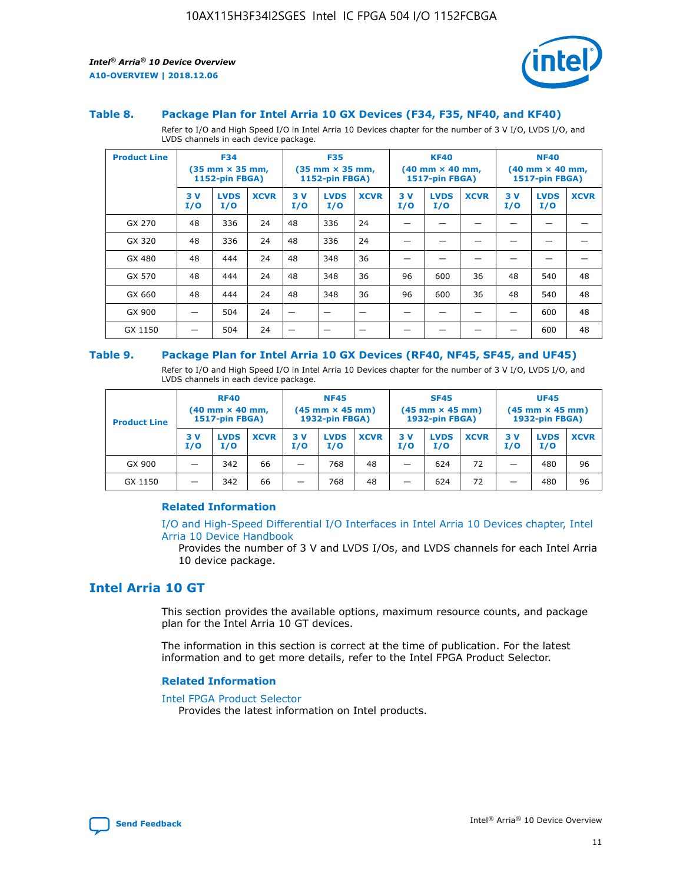

#### **Table 8. Package Plan for Intel Arria 10 GX Devices (F34, F35, NF40, and KF40)**

Refer to I/O and High Speed I/O in Intel Arria 10 Devices chapter for the number of 3 V I/O, LVDS I/O, and LVDS channels in each device package.

| <b>Product Line</b> | <b>F34</b><br>$(35 \text{ mm} \times 35 \text{ mm})$<br>1152-pin FBGA) |                    | <b>F35</b><br>$(35$ mm $\times$ 35 mm,<br>1152-pin FBGA) |           | <b>KF40</b><br>$(40$ mm $\times$ 40 mm,<br>1517-pin FBGA) |             |           | <b>NF40</b><br>$(40$ mm $\times$ 40 mm,<br><b>1517-pin FBGA)</b> |             |            |                    |             |
|---------------------|------------------------------------------------------------------------|--------------------|----------------------------------------------------------|-----------|-----------------------------------------------------------|-------------|-----------|------------------------------------------------------------------|-------------|------------|--------------------|-------------|
|                     | 3V<br>I/O                                                              | <b>LVDS</b><br>I/O | <b>XCVR</b>                                              | 3V<br>I/O | <b>LVDS</b><br>I/O                                        | <b>XCVR</b> | 3V<br>I/O | <b>LVDS</b><br>I/O                                               | <b>XCVR</b> | 3 V<br>I/O | <b>LVDS</b><br>I/O | <b>XCVR</b> |
| GX 270              | 48                                                                     | 336                | 24                                                       | 48        | 336                                                       | 24          |           |                                                                  |             |            |                    |             |
| GX 320              | 48                                                                     | 336                | 24                                                       | 48        | 336                                                       | 24          |           |                                                                  |             |            |                    |             |
| GX 480              | 48                                                                     | 444                | 24                                                       | 48        | 348                                                       | 36          |           |                                                                  |             |            |                    |             |
| GX 570              | 48                                                                     | 444                | 24                                                       | 48        | 348                                                       | 36          | 96        | 600                                                              | 36          | 48         | 540                | 48          |
| GX 660              | 48                                                                     | 444                | 24                                                       | 48        | 348                                                       | 36          | 96        | 600                                                              | 36          | 48         | 540                | 48          |
| GX 900              |                                                                        | 504                | 24                                                       | –         |                                                           | -           |           |                                                                  |             |            | 600                | 48          |
| GX 1150             |                                                                        | 504                | 24                                                       |           |                                                           |             |           |                                                                  |             |            | 600                | 48          |

#### **Table 9. Package Plan for Intel Arria 10 GX Devices (RF40, NF45, SF45, and UF45)**

Refer to I/O and High Speed I/O in Intel Arria 10 Devices chapter for the number of 3 V I/O, LVDS I/O, and LVDS channels in each device package.

| <b>Product Line</b> | <b>RF40</b><br>$(40$ mm $\times$ 40 mm,<br>1517-pin FBGA) |                    | <b>NF45</b><br>$(45 \text{ mm} \times 45 \text{ mm})$<br><b>1932-pin FBGA)</b> |            |                    | <b>SF45</b><br>$(45 \text{ mm} \times 45 \text{ mm})$<br><b>1932-pin FBGA)</b> |            |                    | <b>UF45</b><br>$(45 \text{ mm} \times 45 \text{ mm})$<br><b>1932-pin FBGA)</b> |           |                    |             |
|---------------------|-----------------------------------------------------------|--------------------|--------------------------------------------------------------------------------|------------|--------------------|--------------------------------------------------------------------------------|------------|--------------------|--------------------------------------------------------------------------------|-----------|--------------------|-------------|
|                     | 3V<br>I/O                                                 | <b>LVDS</b><br>I/O | <b>XCVR</b>                                                                    | 3 V<br>I/O | <b>LVDS</b><br>I/O | <b>XCVR</b>                                                                    | 3 V<br>I/O | <b>LVDS</b><br>I/O | <b>XCVR</b>                                                                    | 3V<br>I/O | <b>LVDS</b><br>I/O | <b>XCVR</b> |
| GX 900              |                                                           | 342                | 66                                                                             | _          | 768                | 48                                                                             |            | 624                | 72                                                                             |           | 480                | 96          |
| GX 1150             |                                                           | 342                | 66                                                                             | _          | 768                | 48                                                                             |            | 624                | 72                                                                             |           | 480                | 96          |

#### **Related Information**

[I/O and High-Speed Differential I/O Interfaces in Intel Arria 10 Devices chapter, Intel](https://www.intel.com/content/www/us/en/programmable/documentation/sam1403482614086.html#sam1403482030321) [Arria 10 Device Handbook](https://www.intel.com/content/www/us/en/programmable/documentation/sam1403482614086.html#sam1403482030321)

Provides the number of 3 V and LVDS I/Os, and LVDS channels for each Intel Arria 10 device package.

## **Intel Arria 10 GT**

This section provides the available options, maximum resource counts, and package plan for the Intel Arria 10 GT devices.

The information in this section is correct at the time of publication. For the latest information and to get more details, refer to the Intel FPGA Product Selector.

#### **Related Information**

#### [Intel FPGA Product Selector](http://www.altera.com/products/selector/psg-selector.html)

Provides the latest information on Intel products.

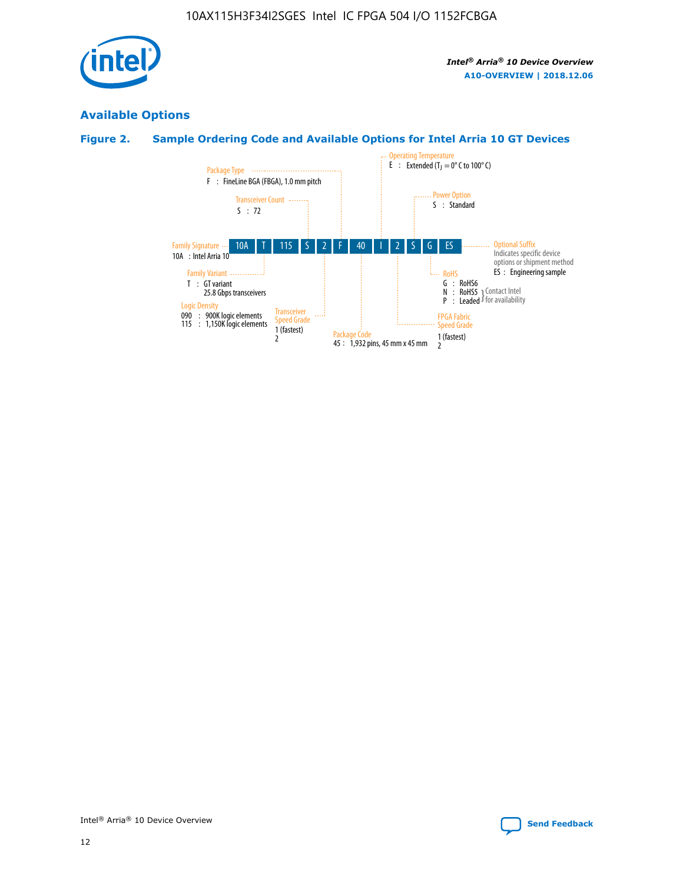

## **Available Options**

## **Figure 2. Sample Ordering Code and Available Options for Intel Arria 10 GT Devices**

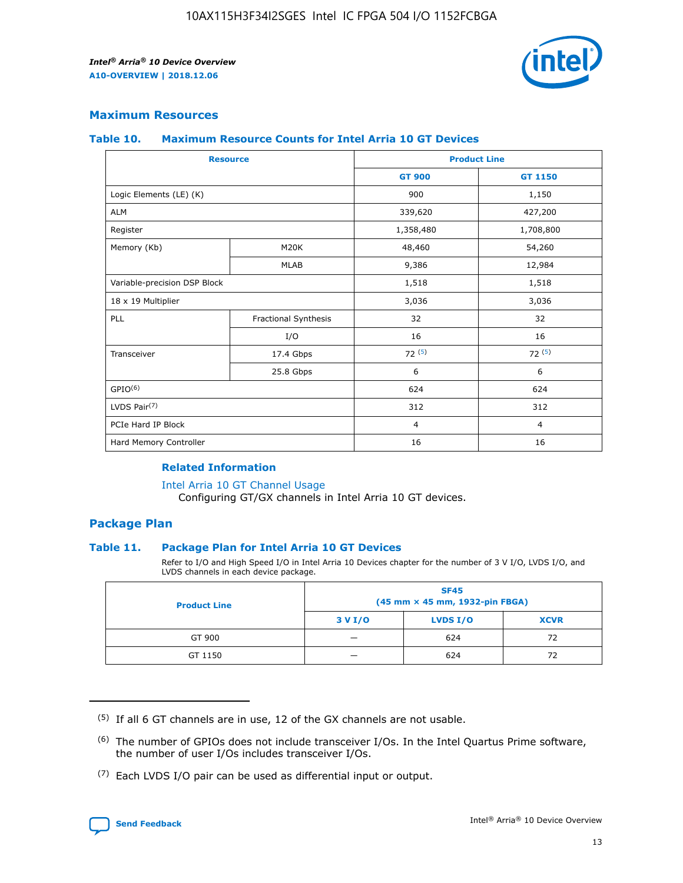

## **Maximum Resources**

#### **Table 10. Maximum Resource Counts for Intel Arria 10 GT Devices**

| <b>Resource</b>              |                      |                | <b>Product Line</b> |  |
|------------------------------|----------------------|----------------|---------------------|--|
|                              |                      | <b>GT 900</b>  | <b>GT 1150</b>      |  |
| Logic Elements (LE) (K)      |                      | 900            | 1,150               |  |
| <b>ALM</b>                   |                      | 339,620        | 427,200             |  |
| Register                     |                      | 1,358,480      | 1,708,800           |  |
| Memory (Kb)                  | M20K                 | 48,460         | 54,260              |  |
|                              | <b>MLAB</b>          | 9,386          | 12,984              |  |
| Variable-precision DSP Block |                      | 1,518          | 1,518               |  |
| 18 x 19 Multiplier           |                      | 3,036          | 3,036               |  |
| <b>PLL</b>                   | Fractional Synthesis | 32             | 32                  |  |
|                              | I/O                  | 16             | 16                  |  |
| Transceiver                  | 17.4 Gbps            | 72(5)          | 72(5)               |  |
|                              | 25.8 Gbps            | 6              | 6                   |  |
| GPIO <sup>(6)</sup>          |                      | 624            | 624                 |  |
| LVDS Pair $(7)$              |                      | 312            | 312                 |  |
| PCIe Hard IP Block           |                      | $\overline{4}$ | $\overline{4}$      |  |
| Hard Memory Controller       |                      | 16             | 16                  |  |

#### **Related Information**

#### [Intel Arria 10 GT Channel Usage](https://www.intel.com/content/www/us/en/programmable/documentation/nik1398707230472.html#nik1398707008178)

Configuring GT/GX channels in Intel Arria 10 GT devices.

## **Package Plan**

#### **Table 11. Package Plan for Intel Arria 10 GT Devices**

Refer to I/O and High Speed I/O in Intel Arria 10 Devices chapter for the number of 3 V I/O, LVDS I/O, and LVDS channels in each device package.

| <b>Product Line</b> | <b>SF45</b><br>(45 mm × 45 mm, 1932-pin FBGA) |                 |             |  |  |  |  |
|---------------------|-----------------------------------------------|-----------------|-------------|--|--|--|--|
|                     | 3 V I/O                                       | <b>LVDS I/O</b> | <b>XCVR</b> |  |  |  |  |
| GT 900              |                                               | 624             | 72          |  |  |  |  |
| GT 1150             |                                               | 624             | 72          |  |  |  |  |

<sup>(7)</sup> Each LVDS I/O pair can be used as differential input or output.



 $(5)$  If all 6 GT channels are in use, 12 of the GX channels are not usable.

<sup>(6)</sup> The number of GPIOs does not include transceiver I/Os. In the Intel Quartus Prime software, the number of user I/Os includes transceiver I/Os.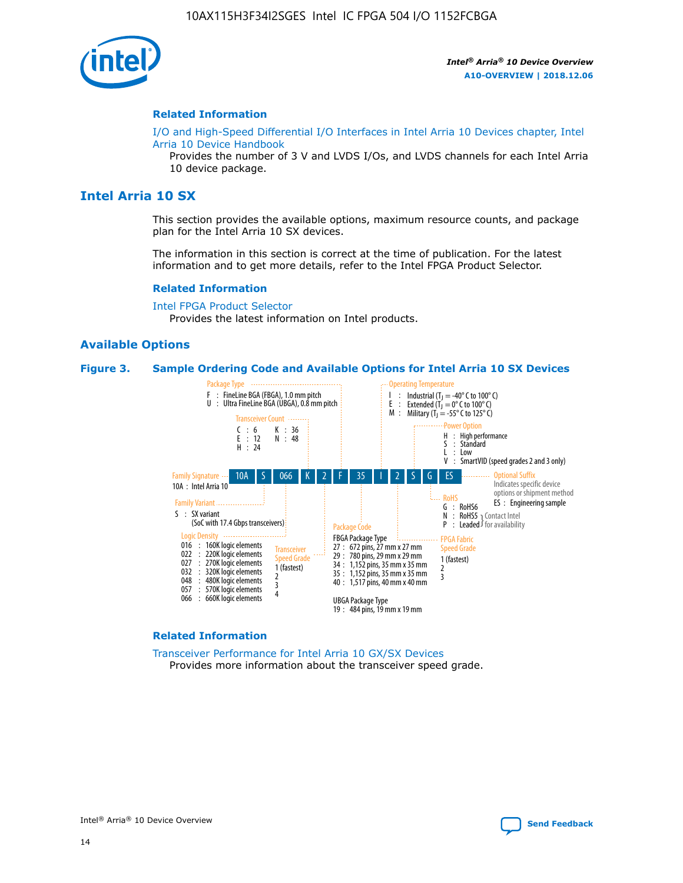

#### **Related Information**

[I/O and High-Speed Differential I/O Interfaces in Intel Arria 10 Devices chapter, Intel](https://www.intel.com/content/www/us/en/programmable/documentation/sam1403482614086.html#sam1403482030321) [Arria 10 Device Handbook](https://www.intel.com/content/www/us/en/programmable/documentation/sam1403482614086.html#sam1403482030321)

Provides the number of 3 V and LVDS I/Os, and LVDS channels for each Intel Arria 10 device package.

## **Intel Arria 10 SX**

This section provides the available options, maximum resource counts, and package plan for the Intel Arria 10 SX devices.

The information in this section is correct at the time of publication. For the latest information and to get more details, refer to the Intel FPGA Product Selector.

#### **Related Information**

[Intel FPGA Product Selector](http://www.altera.com/products/selector/psg-selector.html) Provides the latest information on Intel products.

### **Available Options**

#### **Figure 3. Sample Ordering Code and Available Options for Intel Arria 10 SX Devices**



#### **Related Information**

[Transceiver Performance for Intel Arria 10 GX/SX Devices](https://www.intel.com/content/www/us/en/programmable/documentation/mcn1413182292568.html#mcn1413213965502) Provides more information about the transceiver speed grade.

Intel<sup>®</sup> Arria<sup>®</sup> 10 Device Overview [Send Feedback](mailto:FPGAtechdocfeedback@intel.com?subject=Feedback%20on%20Intel%20Arria%2010%20Device%20Overview%20(A10-OVERVIEW%202018.12.06)&body=We%20appreciate%20your%20feedback.%20In%20your%20comments,%20also%20specify%20the%20page%20number%20or%20paragraph.%20Thank%20you.)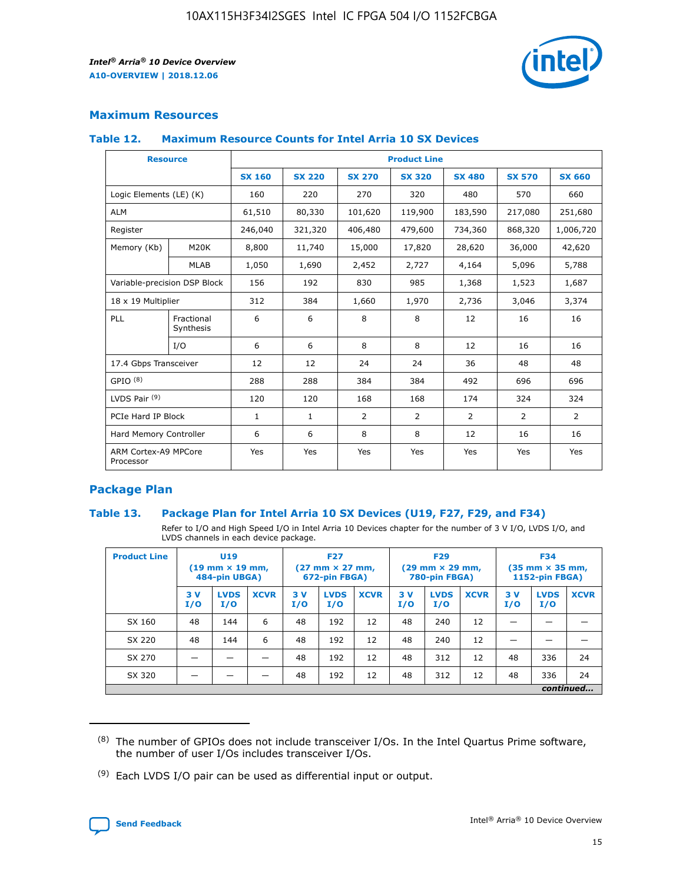

## **Maximum Resources**

#### **Table 12. Maximum Resource Counts for Intel Arria 10 SX Devices**

|                                   | <b>Resource</b>         | <b>Product Line</b> |               |                |                |                |                |                |  |  |  |
|-----------------------------------|-------------------------|---------------------|---------------|----------------|----------------|----------------|----------------|----------------|--|--|--|
|                                   |                         | <b>SX 160</b>       | <b>SX 220</b> | <b>SX 270</b>  | <b>SX 320</b>  | <b>SX 480</b>  | <b>SX 570</b>  | <b>SX 660</b>  |  |  |  |
| Logic Elements (LE) (K)           |                         | 160                 | 220           | 270            | 320            | 480            | 570            | 660            |  |  |  |
| <b>ALM</b>                        |                         | 61,510              | 80,330        | 101,620        | 119,900        | 183,590        | 217,080        | 251,680        |  |  |  |
| Register                          |                         | 246,040             | 321,320       | 406,480        | 479,600        | 734,360        | 868,320        | 1,006,720      |  |  |  |
| Memory (Kb)                       | <b>M20K</b>             | 8,800               | 11,740        | 15,000         | 17,820         | 28,620         | 36,000         | 42,620         |  |  |  |
|                                   | <b>MLAB</b>             | 1,050               | 1,690         | 2,452          | 2,727          | 4,164          | 5,096          | 5,788          |  |  |  |
| Variable-precision DSP Block      |                         | 156                 | 192           | 830            | 985            | 1,368          | 1,523          | 1,687          |  |  |  |
| 18 x 19 Multiplier                |                         | 312                 | 384           | 1,660          | 1,970          | 2,736          | 3,046          | 3,374          |  |  |  |
| <b>PLL</b>                        | Fractional<br>Synthesis | 6                   | 6             | 8              | 8              | 12             | 16             | 16             |  |  |  |
|                                   | I/O                     | 6                   | 6             | 8              | 8              | 12             | 16             | 16             |  |  |  |
| 17.4 Gbps Transceiver             |                         | 12                  | 12            | 24             | 24             | 36             | 48             | 48             |  |  |  |
| GPIO <sup>(8)</sup>               |                         | 288                 | 288           | 384            | 384            | 492            | 696            | 696            |  |  |  |
| LVDS Pair $(9)$                   |                         | 120                 | 120           | 168            | 168            | 174            | 324            | 324            |  |  |  |
| PCIe Hard IP Block                |                         | $\mathbf{1}$        | $\mathbf{1}$  | $\overline{2}$ | $\overline{2}$ | $\overline{2}$ | $\overline{2}$ | $\overline{2}$ |  |  |  |
| Hard Memory Controller            |                         | 6                   | 6             | 8              | 8              | 12             | 16             | 16             |  |  |  |
| ARM Cortex-A9 MPCore<br>Processor |                         | Yes                 | Yes           | Yes            | Yes            | Yes            | Yes            | Yes            |  |  |  |

## **Package Plan**

#### **Table 13. Package Plan for Intel Arria 10 SX Devices (U19, F27, F29, and F34)**

Refer to I/O and High Speed I/O in Intel Arria 10 Devices chapter for the number of 3 V I/O, LVDS I/O, and LVDS channels in each device package.

| <b>Product Line</b> | U19<br>$(19 \text{ mm} \times 19 \text{ mm})$<br>484-pin UBGA) |                    |             | <b>F27</b><br>$(27 \text{ mm} \times 27 \text{ mm})$ .<br>672-pin FBGA) |                    | <b>F29</b><br>$(29 \text{ mm} \times 29 \text{ mm})$ .<br>780-pin FBGA) |            |                    | <b>F34</b><br>$(35 \text{ mm} \times 35 \text{ mm})$<br><b>1152-pin FBGA)</b> |           |                    |             |
|---------------------|----------------------------------------------------------------|--------------------|-------------|-------------------------------------------------------------------------|--------------------|-------------------------------------------------------------------------|------------|--------------------|-------------------------------------------------------------------------------|-----------|--------------------|-------------|
|                     | 3V<br>I/O                                                      | <b>LVDS</b><br>I/O | <b>XCVR</b> | 3V<br>I/O                                                               | <b>LVDS</b><br>I/O | <b>XCVR</b>                                                             | 3 V<br>I/O | <b>LVDS</b><br>I/O | <b>XCVR</b>                                                                   | 3V<br>I/O | <b>LVDS</b><br>I/O | <b>XCVR</b> |
| SX 160              | 48                                                             | 144                | 6           | 48                                                                      | 192                | 12                                                                      | 48         | 240                | 12                                                                            |           |                    |             |
| SX 220              | 48                                                             | 144                | 6           | 48                                                                      | 192                | 12                                                                      | 48         | 240                | 12                                                                            |           |                    |             |
| SX 270              |                                                                |                    |             | 48                                                                      | 192                | 12                                                                      | 48         | 312                | 12                                                                            | 48        | 336                | 24          |
| SX 320              |                                                                |                    |             | 48                                                                      | 192                | 12                                                                      | 48         | 312                | 12                                                                            | 48        | 336                | 24          |
|                     | continued                                                      |                    |             |                                                                         |                    |                                                                         |            |                    |                                                                               |           |                    |             |

 $(8)$  The number of GPIOs does not include transceiver I/Os. In the Intel Quartus Prime software, the number of user I/Os includes transceiver I/Os.

 $(9)$  Each LVDS I/O pair can be used as differential input or output.

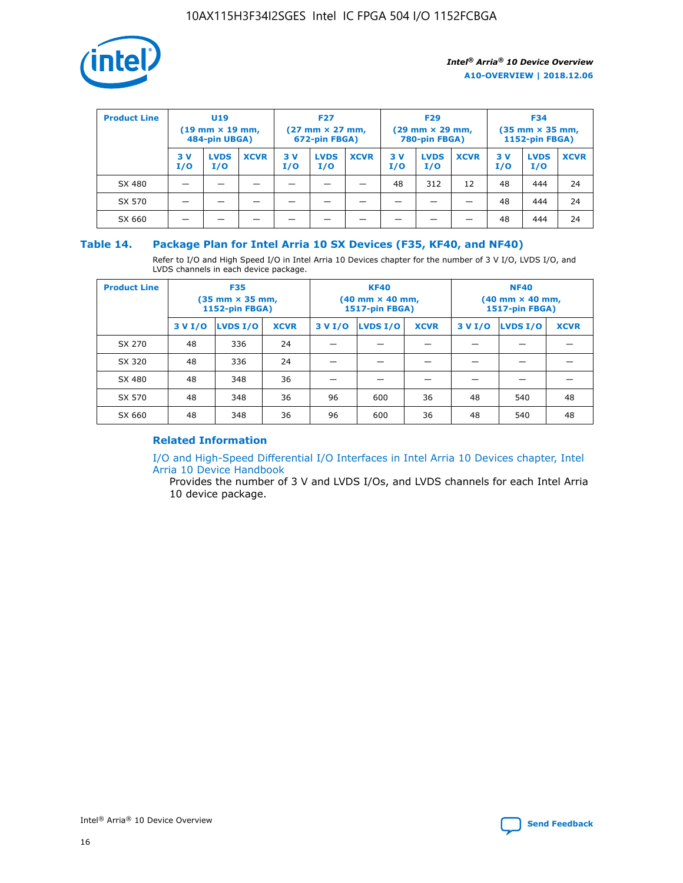

| <b>Product Line</b> | U <sub>19</sub><br>$(19 \text{ mm} \times 19 \text{ mm})$<br>484-pin UBGA) |                    | <b>F27</b><br>$(27 \text{ mm} \times 27 \text{ mm})$<br>672-pin FBGA) |           | <b>F29</b><br>$(29 \text{ mm} \times 29 \text{ mm})$<br>780-pin FBGA) |             |           | <b>F34</b><br>$(35 \text{ mm} \times 35 \text{ mm})$<br><b>1152-pin FBGA)</b> |             |           |                    |             |
|---------------------|----------------------------------------------------------------------------|--------------------|-----------------------------------------------------------------------|-----------|-----------------------------------------------------------------------|-------------|-----------|-------------------------------------------------------------------------------|-------------|-----------|--------------------|-------------|
|                     | 3 V<br>I/O                                                                 | <b>LVDS</b><br>I/O | <b>XCVR</b>                                                           | 3V<br>I/O | <b>LVDS</b><br>I/O                                                    | <b>XCVR</b> | 3V<br>I/O | <b>LVDS</b><br>I/O                                                            | <b>XCVR</b> | 3V<br>I/O | <b>LVDS</b><br>I/O | <b>XCVR</b> |
| SX 480              |                                                                            |                    |                                                                       |           |                                                                       |             | 48        | 312                                                                           | 12          | 48        | 444                | 24          |
| SX 570              |                                                                            |                    |                                                                       |           |                                                                       |             |           |                                                                               |             | 48        | 444                | 24          |
| SX 660              |                                                                            |                    |                                                                       |           |                                                                       |             |           |                                                                               |             | 48        | 444                | 24          |

### **Table 14. Package Plan for Intel Arria 10 SX Devices (F35, KF40, and NF40)**

Refer to I/O and High Speed I/O in Intel Arria 10 Devices chapter for the number of 3 V I/O, LVDS I/O, and LVDS channels in each device package.

| <b>Product Line</b> | <b>F35</b><br>$(35 \text{ mm} \times 35 \text{ mm})$<br><b>1152-pin FBGA)</b> |          |             |                                           | <b>KF40</b><br>(40 mm × 40 mm,<br>1517-pin FBGA) |    | <b>NF40</b><br>$(40 \text{ mm} \times 40 \text{ mm})$<br>1517-pin FBGA) |          |             |  |
|---------------------|-------------------------------------------------------------------------------|----------|-------------|-------------------------------------------|--------------------------------------------------|----|-------------------------------------------------------------------------|----------|-------------|--|
|                     | 3 V I/O                                                                       | LVDS I/O | <b>XCVR</b> | <b>LVDS I/O</b><br><b>XCVR</b><br>3 V I/O |                                                  |    | 3 V I/O                                                                 | LVDS I/O | <b>XCVR</b> |  |
| SX 270              | 48                                                                            | 336      | 24          |                                           |                                                  |    |                                                                         |          |             |  |
| SX 320              | 48                                                                            | 336      | 24          |                                           |                                                  |    |                                                                         |          |             |  |
| SX 480              | 48                                                                            | 348      | 36          |                                           |                                                  |    |                                                                         |          |             |  |
| SX 570              | 48                                                                            | 348      | 36          | 96                                        | 600                                              | 36 | 48                                                                      | 540      | 48          |  |
| SX 660              | 48                                                                            | 348      | 36          | 96                                        | 600                                              | 36 | 48                                                                      | 540      | 48          |  |

## **Related Information**

[I/O and High-Speed Differential I/O Interfaces in Intel Arria 10 Devices chapter, Intel](https://www.intel.com/content/www/us/en/programmable/documentation/sam1403482614086.html#sam1403482030321) [Arria 10 Device Handbook](https://www.intel.com/content/www/us/en/programmable/documentation/sam1403482614086.html#sam1403482030321)

Provides the number of 3 V and LVDS I/Os, and LVDS channels for each Intel Arria 10 device package.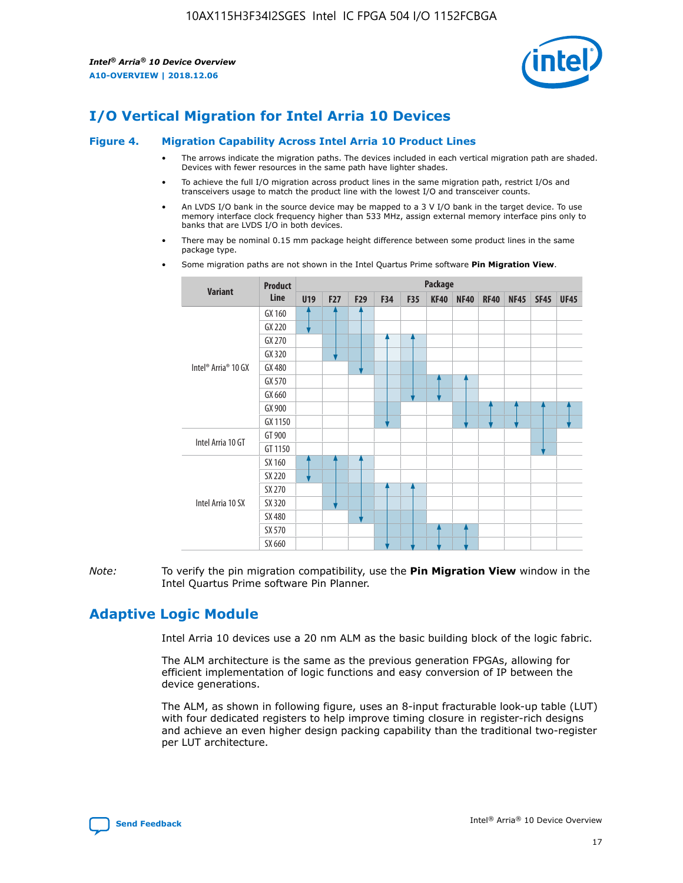

# **I/O Vertical Migration for Intel Arria 10 Devices**

#### **Figure 4. Migration Capability Across Intel Arria 10 Product Lines**

- The arrows indicate the migration paths. The devices included in each vertical migration path are shaded. Devices with fewer resources in the same path have lighter shades.
- To achieve the full I/O migration across product lines in the same migration path, restrict I/Os and transceivers usage to match the product line with the lowest I/O and transceiver counts.
- An LVDS I/O bank in the source device may be mapped to a 3 V I/O bank in the target device. To use memory interface clock frequency higher than 533 MHz, assign external memory interface pins only to banks that are LVDS I/O in both devices.
- There may be nominal 0.15 mm package height difference between some product lines in the same package type.
	- **Variant Product Line Package U19 F27 F29 F34 F35 KF40 NF40 RF40 NF45 SF45 UF45** Intel® Arria® 10 GX GX 160 GX 220 GX 270 GX 320 GX 480 GX 570 GX 660 GX 900 GX 1150 Intel Arria 10 GT GT 900 GT 1150 Intel Arria 10 SX SX 160 SX 220 SX 270 SX 320 SX 480 SX 570 SX 660
- Some migration paths are not shown in the Intel Quartus Prime software **Pin Migration View**.

*Note:* To verify the pin migration compatibility, use the **Pin Migration View** window in the Intel Quartus Prime software Pin Planner.

## **Adaptive Logic Module**

Intel Arria 10 devices use a 20 nm ALM as the basic building block of the logic fabric.

The ALM architecture is the same as the previous generation FPGAs, allowing for efficient implementation of logic functions and easy conversion of IP between the device generations.

The ALM, as shown in following figure, uses an 8-input fracturable look-up table (LUT) with four dedicated registers to help improve timing closure in register-rich designs and achieve an even higher design packing capability than the traditional two-register per LUT architecture.

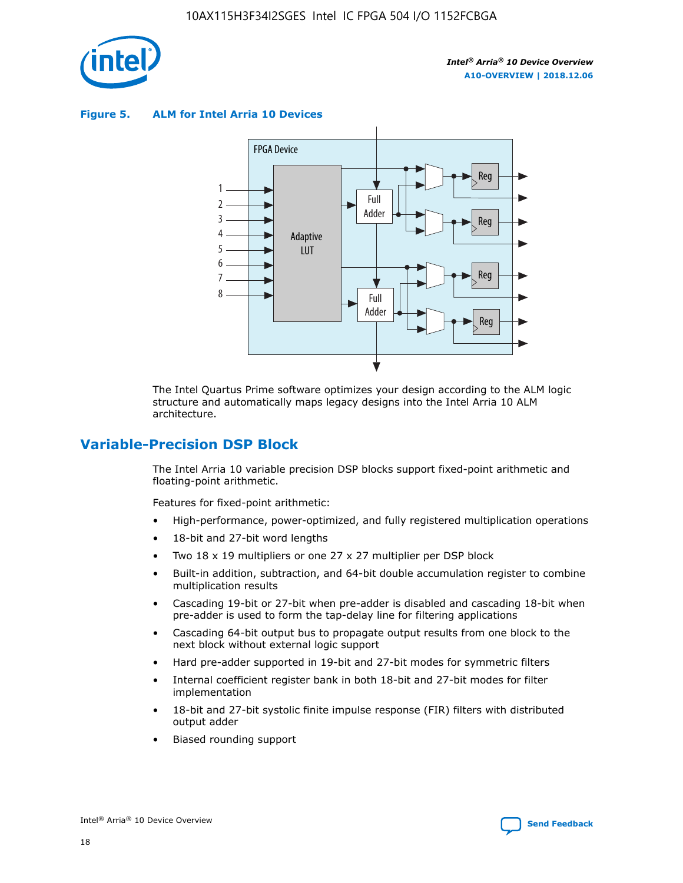

**Figure 5. ALM for Intel Arria 10 Devices**



The Intel Quartus Prime software optimizes your design according to the ALM logic structure and automatically maps legacy designs into the Intel Arria 10 ALM architecture.

## **Variable-Precision DSP Block**

The Intel Arria 10 variable precision DSP blocks support fixed-point arithmetic and floating-point arithmetic.

Features for fixed-point arithmetic:

- High-performance, power-optimized, and fully registered multiplication operations
- 18-bit and 27-bit word lengths
- Two 18 x 19 multipliers or one 27 x 27 multiplier per DSP block
- Built-in addition, subtraction, and 64-bit double accumulation register to combine multiplication results
- Cascading 19-bit or 27-bit when pre-adder is disabled and cascading 18-bit when pre-adder is used to form the tap-delay line for filtering applications
- Cascading 64-bit output bus to propagate output results from one block to the next block without external logic support
- Hard pre-adder supported in 19-bit and 27-bit modes for symmetric filters
- Internal coefficient register bank in both 18-bit and 27-bit modes for filter implementation
- 18-bit and 27-bit systolic finite impulse response (FIR) filters with distributed output adder
- Biased rounding support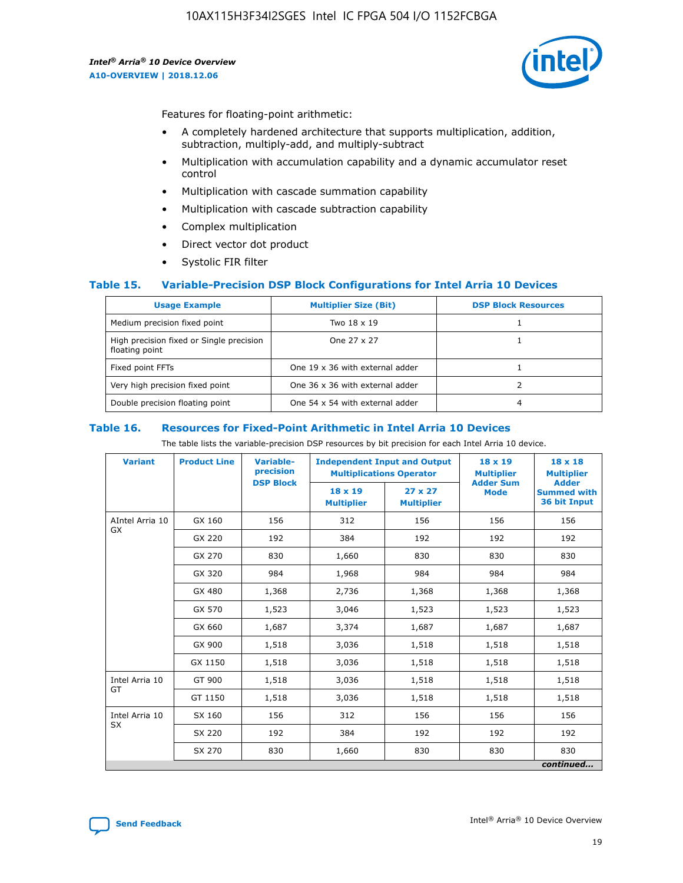

Features for floating-point arithmetic:

- A completely hardened architecture that supports multiplication, addition, subtraction, multiply-add, and multiply-subtract
- Multiplication with accumulation capability and a dynamic accumulator reset control
- Multiplication with cascade summation capability
- Multiplication with cascade subtraction capability
- Complex multiplication
- Direct vector dot product
- Systolic FIR filter

#### **Table 15. Variable-Precision DSP Block Configurations for Intel Arria 10 Devices**

| <b>Usage Example</b>                                       | <b>Multiplier Size (Bit)</b>    | <b>DSP Block Resources</b> |
|------------------------------------------------------------|---------------------------------|----------------------------|
| Medium precision fixed point                               | Two 18 x 19                     |                            |
| High precision fixed or Single precision<br>floating point | One 27 x 27                     |                            |
| Fixed point FFTs                                           | One 19 x 36 with external adder |                            |
| Very high precision fixed point                            | One 36 x 36 with external adder |                            |
| Double precision floating point                            | One 54 x 54 with external adder | 4                          |

#### **Table 16. Resources for Fixed-Point Arithmetic in Intel Arria 10 Devices**

The table lists the variable-precision DSP resources by bit precision for each Intel Arria 10 device.

| <b>Variant</b>  | <b>Product Line</b> | <b>Variable-</b><br>precision<br><b>DSP Block</b> | <b>Independent Input and Output</b><br><b>Multiplications Operator</b> |                                     | 18 x 19<br><b>Multiplier</b><br><b>Adder Sum</b> | $18 \times 18$<br><b>Multiplier</b><br><b>Adder</b> |
|-----------------|---------------------|---------------------------------------------------|------------------------------------------------------------------------|-------------------------------------|--------------------------------------------------|-----------------------------------------------------|
|                 |                     |                                                   | 18 x 19<br><b>Multiplier</b>                                           | $27 \times 27$<br><b>Multiplier</b> | <b>Mode</b>                                      | <b>Summed with</b><br>36 bit Input                  |
| AIntel Arria 10 | GX 160              | 156                                               | 312                                                                    | 156                                 | 156                                              | 156                                                 |
| GX              | GX 220              | 192                                               | 384                                                                    | 192                                 | 192                                              | 192                                                 |
|                 | GX 270              | 830                                               | 1,660                                                                  | 830                                 | 830                                              | 830                                                 |
|                 | GX 320              | 984                                               | 1,968                                                                  | 984                                 | 984                                              | 984                                                 |
|                 | GX 480              | 1,368                                             | 2,736                                                                  | 1,368                               | 1,368                                            | 1,368                                               |
|                 | GX 570              | 1,523                                             | 3,046                                                                  | 1,523                               | 1,523                                            | 1,523                                               |
|                 | GX 660              | 1,687                                             | 3,374                                                                  | 1,687                               | 1,687                                            | 1,687                                               |
|                 | GX 900              | 1,518                                             | 3,036                                                                  | 1,518                               | 1,518                                            | 1,518                                               |
|                 | GX 1150             | 1,518                                             | 3,036                                                                  | 1,518                               | 1,518                                            | 1,518                                               |
| Intel Arria 10  | GT 900              | 1,518                                             | 3,036                                                                  | 1,518                               | 1,518                                            | 1,518                                               |
| GT              | GT 1150             | 1,518                                             | 3,036                                                                  | 1,518                               | 1,518                                            | 1,518                                               |
| Intel Arria 10  | SX 160              | 156                                               | 312                                                                    | 156                                 | 156                                              | 156                                                 |
| <b>SX</b>       | SX 220              | 192                                               | 384                                                                    | 192                                 | 192                                              | 192                                                 |
|                 | SX 270              | 830                                               | 1,660                                                                  | 830                                 | 830                                              | 830                                                 |
|                 |                     |                                                   |                                                                        |                                     |                                                  | continued                                           |

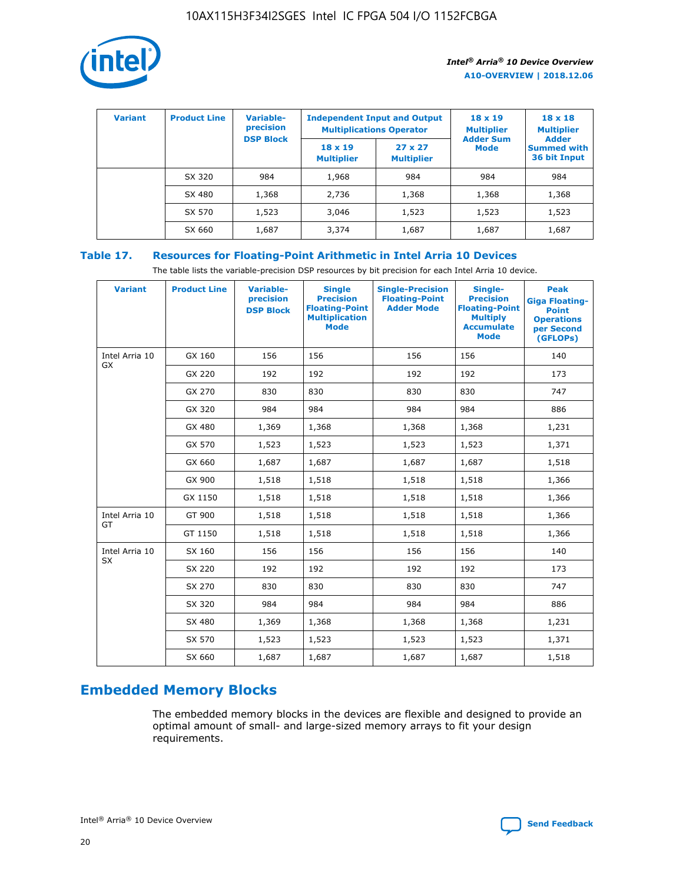

| <b>Variant</b> | <b>Product Line</b> | Variable-<br>precision | <b>Independent Input and Output</b><br><b>Multiplications Operator</b> |                                     | $18 \times 19$<br><b>Multiplier</b> | $18 \times 18$<br><b>Multiplier</b><br><b>Adder</b> |  |
|----------------|---------------------|------------------------|------------------------------------------------------------------------|-------------------------------------|-------------------------------------|-----------------------------------------------------|--|
|                |                     | <b>DSP Block</b>       | $18 \times 19$<br><b>Multiplier</b>                                    | $27 \times 27$<br><b>Multiplier</b> | <b>Adder Sum</b><br><b>Mode</b>     | <b>Summed with</b><br>36 bit Input                  |  |
|                | SX 320              | 984                    | 1,968                                                                  | 984                                 | 984                                 | 984                                                 |  |
|                | SX 480              | 1,368                  | 2,736                                                                  | 1,368                               | 1,368                               | 1,368                                               |  |
|                | SX 570              | 1,523                  | 3,046                                                                  | 1,523                               | 1,523                               | 1,523                                               |  |
|                | SX 660              | 1,687                  | 3,374                                                                  | 1,687                               | 1,687                               | 1,687                                               |  |

## **Table 17. Resources for Floating-Point Arithmetic in Intel Arria 10 Devices**

The table lists the variable-precision DSP resources by bit precision for each Intel Arria 10 device.

| <b>Variant</b> | <b>Product Line</b> | <b>Variable-</b><br>precision<br><b>DSP Block</b> | <b>Single</b><br><b>Precision</b><br><b>Floating-Point</b><br><b>Multiplication</b><br><b>Mode</b> | <b>Single-Precision</b><br><b>Floating-Point</b><br><b>Adder Mode</b> | Single-<br><b>Precision</b><br><b>Floating-Point</b><br><b>Multiply</b><br><b>Accumulate</b><br><b>Mode</b> | <b>Peak</b><br><b>Giga Floating-</b><br><b>Point</b><br><b>Operations</b><br>per Second<br>(GFLOPs) |
|----------------|---------------------|---------------------------------------------------|----------------------------------------------------------------------------------------------------|-----------------------------------------------------------------------|-------------------------------------------------------------------------------------------------------------|-----------------------------------------------------------------------------------------------------|
| Intel Arria 10 | GX 160              | 156                                               | 156                                                                                                | 156                                                                   | 156                                                                                                         | 140                                                                                                 |
| GX             | GX 220              | 192                                               | 192                                                                                                | 192                                                                   | 192                                                                                                         | 173                                                                                                 |
|                | GX 270              | 830                                               | 830                                                                                                | 830                                                                   | 830                                                                                                         | 747                                                                                                 |
|                | GX 320              | 984                                               | 984                                                                                                | 984                                                                   | 984                                                                                                         | 886                                                                                                 |
|                | GX 480              | 1,369                                             | 1,368                                                                                              | 1,368                                                                 | 1,368                                                                                                       | 1,231                                                                                               |
|                | GX 570              | 1,523                                             | 1,523                                                                                              | 1,523                                                                 | 1,523                                                                                                       | 1,371                                                                                               |
|                | GX 660              | 1,687                                             | 1,687                                                                                              | 1,687                                                                 | 1,687                                                                                                       | 1,518                                                                                               |
|                | GX 900              | 1,518                                             | 1,518                                                                                              | 1,518                                                                 | 1,518                                                                                                       | 1,366                                                                                               |
|                | GX 1150             | 1,518                                             | 1,518                                                                                              | 1,518                                                                 | 1,518                                                                                                       | 1,366                                                                                               |
| Intel Arria 10 | GT 900              | 1,518                                             | 1,518                                                                                              | 1,518                                                                 | 1,518                                                                                                       | 1,366                                                                                               |
| GT             | GT 1150             | 1,518                                             | 1,518                                                                                              | 1,518                                                                 | 1,518                                                                                                       | 1,366                                                                                               |
| Intel Arria 10 | SX 160              | 156                                               | 156                                                                                                | 156                                                                   | 156                                                                                                         | 140                                                                                                 |
| <b>SX</b>      | SX 220              | 192                                               | 192                                                                                                | 192                                                                   | 192                                                                                                         | 173                                                                                                 |
|                | SX 270              | 830                                               | 830                                                                                                | 830                                                                   | 830                                                                                                         | 747                                                                                                 |
|                | SX 320              | 984                                               | 984                                                                                                | 984                                                                   | 984                                                                                                         | 886                                                                                                 |
|                | SX 480              | 1,369                                             | 1,368                                                                                              | 1,368                                                                 | 1,368                                                                                                       | 1,231                                                                                               |
|                | SX 570              | 1,523                                             | 1,523                                                                                              | 1,523                                                                 | 1,523                                                                                                       | 1,371                                                                                               |
|                | SX 660              | 1,687                                             | 1,687                                                                                              | 1,687                                                                 | 1,687                                                                                                       | 1,518                                                                                               |

# **Embedded Memory Blocks**

The embedded memory blocks in the devices are flexible and designed to provide an optimal amount of small- and large-sized memory arrays to fit your design requirements.

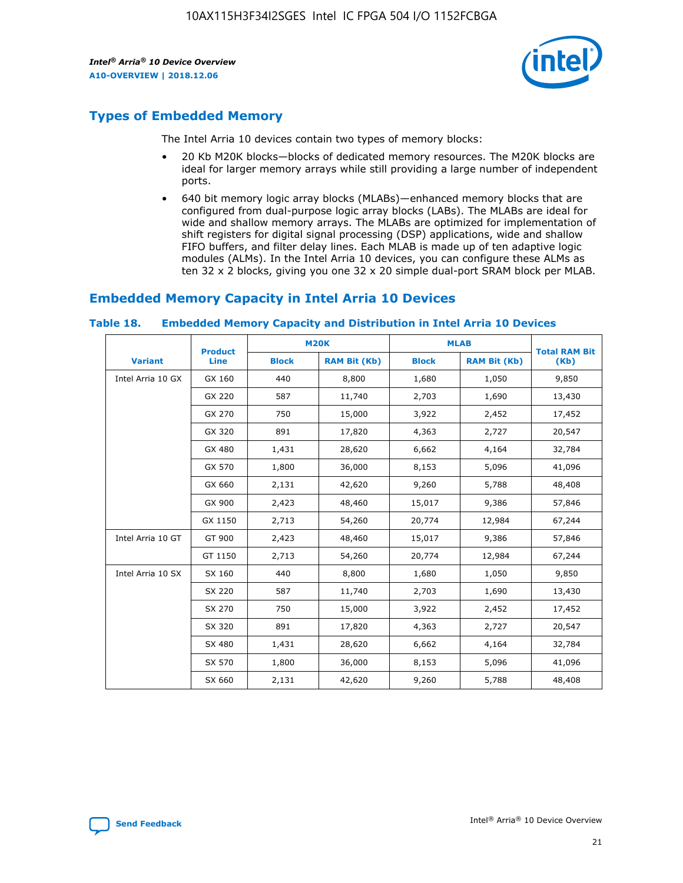

## **Types of Embedded Memory**

The Intel Arria 10 devices contain two types of memory blocks:

- 20 Kb M20K blocks—blocks of dedicated memory resources. The M20K blocks are ideal for larger memory arrays while still providing a large number of independent ports.
- 640 bit memory logic array blocks (MLABs)—enhanced memory blocks that are configured from dual-purpose logic array blocks (LABs). The MLABs are ideal for wide and shallow memory arrays. The MLABs are optimized for implementation of shift registers for digital signal processing (DSP) applications, wide and shallow FIFO buffers, and filter delay lines. Each MLAB is made up of ten adaptive logic modules (ALMs). In the Intel Arria 10 devices, you can configure these ALMs as ten 32 x 2 blocks, giving you one 32 x 20 simple dual-port SRAM block per MLAB.

## **Embedded Memory Capacity in Intel Arria 10 Devices**

|                   | <b>Product</b> | <b>M20K</b>  |                     | <b>MLAB</b>  |                     | <b>Total RAM Bit</b> |
|-------------------|----------------|--------------|---------------------|--------------|---------------------|----------------------|
| <b>Variant</b>    | <b>Line</b>    | <b>Block</b> | <b>RAM Bit (Kb)</b> | <b>Block</b> | <b>RAM Bit (Kb)</b> | (Kb)                 |
| Intel Arria 10 GX | GX 160         | 440          | 8,800               | 1,680        | 1,050               | 9,850                |
|                   | GX 220         | 587          | 11,740              | 2,703        | 1,690               | 13,430               |
|                   | GX 270         | 750          | 15,000              | 3,922        | 2,452               | 17,452               |
|                   | GX 320         | 891          | 17,820              | 4,363        | 2,727               | 20,547               |
|                   | GX 480         | 1,431        | 28,620              | 6,662        | 4,164               | 32,784               |
|                   | GX 570         | 1,800        | 36,000              | 8,153        | 5,096               | 41,096               |
|                   | GX 660         | 2,131        | 42,620              | 9,260        | 5,788               | 48,408               |
|                   | GX 900         | 2,423        | 48,460              | 15,017       | 9,386               | 57,846               |
|                   | GX 1150        | 2,713        | 54,260              | 20,774       | 12,984              | 67,244               |
| Intel Arria 10 GT | GT 900         | 2,423        | 48,460              | 15,017       | 9,386               | 57,846               |
|                   | GT 1150        | 2,713        | 54,260              | 20,774       | 12,984              | 67,244               |
| Intel Arria 10 SX | SX 160         | 440          | 8,800               | 1,680        | 1,050               | 9,850                |
|                   | SX 220         | 587          | 11,740              | 2,703        | 1,690               | 13,430               |
|                   | SX 270         | 750          | 15,000              | 3,922        | 2,452               | 17,452               |
|                   | SX 320         | 891          | 17,820              | 4,363        | 2,727               | 20,547               |
|                   | SX 480         | 1,431        | 28,620              | 6,662        | 4,164               | 32,784               |
|                   | SX 570         | 1,800        | 36,000              | 8,153        | 5,096               | 41,096               |
|                   | SX 660         | 2,131        | 42,620              | 9,260        | 5,788               | 48,408               |

#### **Table 18. Embedded Memory Capacity and Distribution in Intel Arria 10 Devices**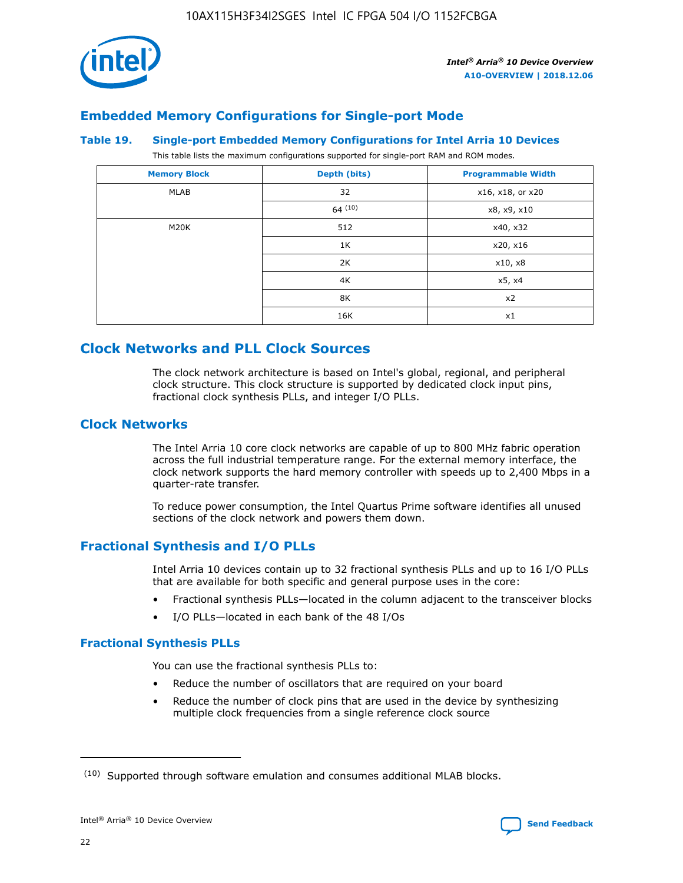

## **Embedded Memory Configurations for Single-port Mode**

#### **Table 19. Single-port Embedded Memory Configurations for Intel Arria 10 Devices**

This table lists the maximum configurations supported for single-port RAM and ROM modes.

| <b>Memory Block</b> | Depth (bits) | <b>Programmable Width</b> |
|---------------------|--------------|---------------------------|
| MLAB                | 32           | x16, x18, or x20          |
|                     | 64(10)       | x8, x9, x10               |
| M20K                | 512          | x40, x32                  |
|                     | 1K           | x20, x16                  |
|                     | 2K           | x10, x8                   |
|                     | 4K           | x5, x4                    |
|                     | 8K           | x2                        |
|                     | 16K          | x1                        |

## **Clock Networks and PLL Clock Sources**

The clock network architecture is based on Intel's global, regional, and peripheral clock structure. This clock structure is supported by dedicated clock input pins, fractional clock synthesis PLLs, and integer I/O PLLs.

## **Clock Networks**

The Intel Arria 10 core clock networks are capable of up to 800 MHz fabric operation across the full industrial temperature range. For the external memory interface, the clock network supports the hard memory controller with speeds up to 2,400 Mbps in a quarter-rate transfer.

To reduce power consumption, the Intel Quartus Prime software identifies all unused sections of the clock network and powers them down.

## **Fractional Synthesis and I/O PLLs**

Intel Arria 10 devices contain up to 32 fractional synthesis PLLs and up to 16 I/O PLLs that are available for both specific and general purpose uses in the core:

- Fractional synthesis PLLs—located in the column adjacent to the transceiver blocks
- I/O PLLs—located in each bank of the 48 I/Os

## **Fractional Synthesis PLLs**

You can use the fractional synthesis PLLs to:

- Reduce the number of oscillators that are required on your board
- Reduce the number of clock pins that are used in the device by synthesizing multiple clock frequencies from a single reference clock source

<sup>(10)</sup> Supported through software emulation and consumes additional MLAB blocks.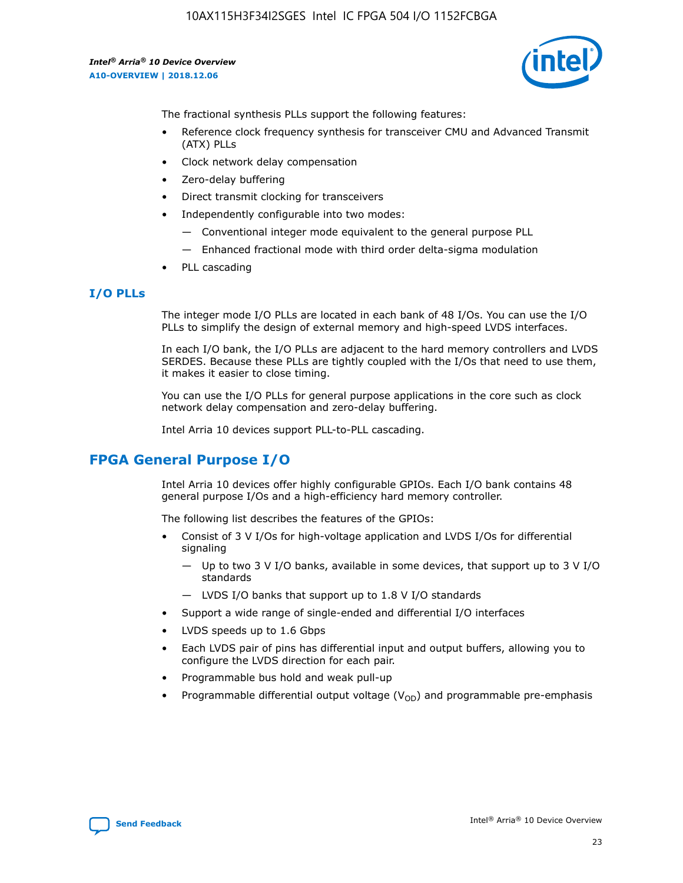

The fractional synthesis PLLs support the following features:

- Reference clock frequency synthesis for transceiver CMU and Advanced Transmit (ATX) PLLs
- Clock network delay compensation
- Zero-delay buffering
- Direct transmit clocking for transceivers
- Independently configurable into two modes:
	- Conventional integer mode equivalent to the general purpose PLL
	- Enhanced fractional mode with third order delta-sigma modulation
- PLL cascading

## **I/O PLLs**

The integer mode I/O PLLs are located in each bank of 48 I/Os. You can use the I/O PLLs to simplify the design of external memory and high-speed LVDS interfaces.

In each I/O bank, the I/O PLLs are adjacent to the hard memory controllers and LVDS SERDES. Because these PLLs are tightly coupled with the I/Os that need to use them, it makes it easier to close timing.

You can use the I/O PLLs for general purpose applications in the core such as clock network delay compensation and zero-delay buffering.

Intel Arria 10 devices support PLL-to-PLL cascading.

## **FPGA General Purpose I/O**

Intel Arria 10 devices offer highly configurable GPIOs. Each I/O bank contains 48 general purpose I/Os and a high-efficiency hard memory controller.

The following list describes the features of the GPIOs:

- Consist of 3 V I/Os for high-voltage application and LVDS I/Os for differential signaling
	- Up to two 3 V I/O banks, available in some devices, that support up to 3 V I/O standards
	- LVDS I/O banks that support up to 1.8 V I/O standards
- Support a wide range of single-ended and differential I/O interfaces
- LVDS speeds up to 1.6 Gbps
- Each LVDS pair of pins has differential input and output buffers, allowing you to configure the LVDS direction for each pair.
- Programmable bus hold and weak pull-up
- Programmable differential output voltage  $(V_{OD})$  and programmable pre-emphasis

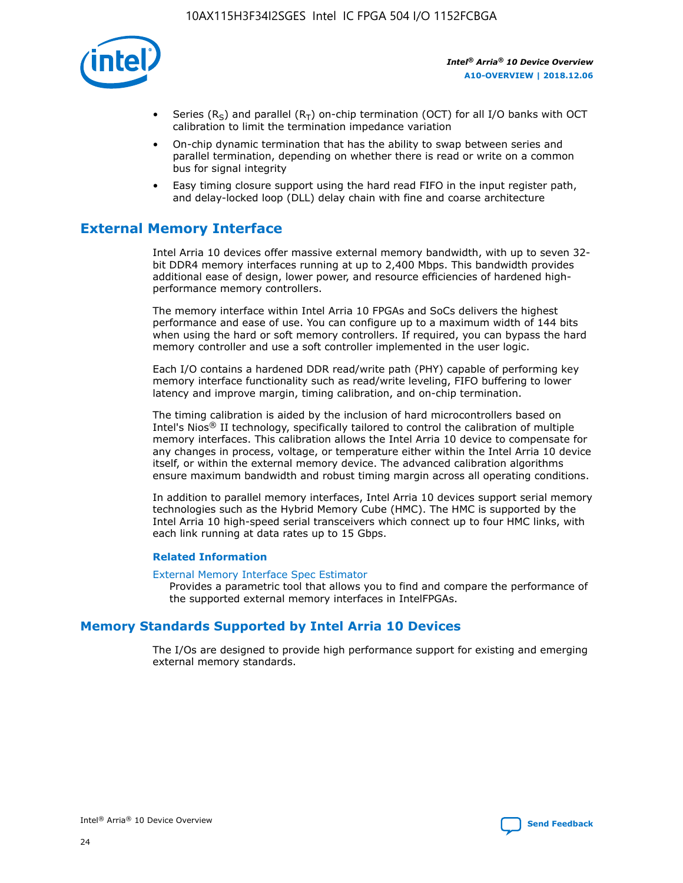

- Series (R<sub>S</sub>) and parallel (R<sub>T</sub>) on-chip termination (OCT) for all I/O banks with OCT calibration to limit the termination impedance variation
- On-chip dynamic termination that has the ability to swap between series and parallel termination, depending on whether there is read or write on a common bus for signal integrity
- Easy timing closure support using the hard read FIFO in the input register path, and delay-locked loop (DLL) delay chain with fine and coarse architecture

# **External Memory Interface**

Intel Arria 10 devices offer massive external memory bandwidth, with up to seven 32 bit DDR4 memory interfaces running at up to 2,400 Mbps. This bandwidth provides additional ease of design, lower power, and resource efficiencies of hardened highperformance memory controllers.

The memory interface within Intel Arria 10 FPGAs and SoCs delivers the highest performance and ease of use. You can configure up to a maximum width of 144 bits when using the hard or soft memory controllers. If required, you can bypass the hard memory controller and use a soft controller implemented in the user logic.

Each I/O contains a hardened DDR read/write path (PHY) capable of performing key memory interface functionality such as read/write leveling, FIFO buffering to lower latency and improve margin, timing calibration, and on-chip termination.

The timing calibration is aided by the inclusion of hard microcontrollers based on Intel's Nios® II technology, specifically tailored to control the calibration of multiple memory interfaces. This calibration allows the Intel Arria 10 device to compensate for any changes in process, voltage, or temperature either within the Intel Arria 10 device itself, or within the external memory device. The advanced calibration algorithms ensure maximum bandwidth and robust timing margin across all operating conditions.

In addition to parallel memory interfaces, Intel Arria 10 devices support serial memory technologies such as the Hybrid Memory Cube (HMC). The HMC is supported by the Intel Arria 10 high-speed serial transceivers which connect up to four HMC links, with each link running at data rates up to 15 Gbps.

#### **Related Information**

#### [External Memory Interface Spec Estimator](http://www.altera.com/technology/memory/estimator/mem-emif-index.html)

Provides a parametric tool that allows you to find and compare the performance of the supported external memory interfaces in IntelFPGAs.

## **Memory Standards Supported by Intel Arria 10 Devices**

The I/Os are designed to provide high performance support for existing and emerging external memory standards.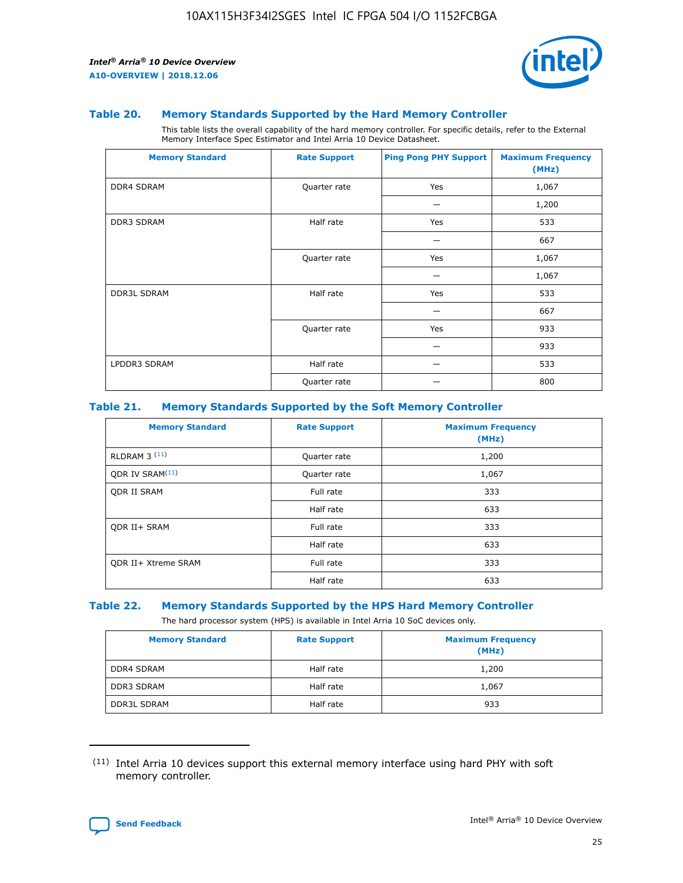

#### **Table 20. Memory Standards Supported by the Hard Memory Controller**

This table lists the overall capability of the hard memory controller. For specific details, refer to the External Memory Interface Spec Estimator and Intel Arria 10 Device Datasheet.

| <b>Memory Standard</b> | <b>Rate Support</b> | <b>Ping Pong PHY Support</b> | <b>Maximum Frequency</b><br>(MHz) |
|------------------------|---------------------|------------------------------|-----------------------------------|
| <b>DDR4 SDRAM</b>      | Quarter rate        | Yes                          | 1,067                             |
|                        |                     |                              | 1,200                             |
| DDR3 SDRAM             | Half rate           | Yes                          | 533                               |
|                        |                     |                              | 667                               |
|                        | Quarter rate        | Yes                          | 1,067                             |
|                        |                     |                              | 1,067                             |
| <b>DDR3L SDRAM</b>     | Half rate           | Yes                          | 533                               |
|                        |                     |                              | 667                               |
|                        | Quarter rate        | Yes                          | 933                               |
|                        |                     |                              | 933                               |
| LPDDR3 SDRAM           | Half rate           |                              | 533                               |
|                        | Quarter rate        |                              | 800                               |

#### **Table 21. Memory Standards Supported by the Soft Memory Controller**

| <b>Memory Standard</b>      | <b>Rate Support</b> | <b>Maximum Frequency</b><br>(MHz) |
|-----------------------------|---------------------|-----------------------------------|
| <b>RLDRAM 3 (11)</b>        | Quarter rate        | 1,200                             |
| ODR IV SRAM <sup>(11)</sup> | Quarter rate        | 1,067                             |
| <b>ODR II SRAM</b>          | Full rate           | 333                               |
|                             | Half rate           | 633                               |
| <b>ODR II+ SRAM</b>         | Full rate           | 333                               |
|                             | Half rate           | 633                               |
| <b>ODR II+ Xtreme SRAM</b>  | Full rate           | 333                               |
|                             | Half rate           | 633                               |

#### **Table 22. Memory Standards Supported by the HPS Hard Memory Controller**

The hard processor system (HPS) is available in Intel Arria 10 SoC devices only.

| <b>Memory Standard</b> | <b>Rate Support</b> | <b>Maximum Frequency</b><br>(MHz) |
|------------------------|---------------------|-----------------------------------|
| <b>DDR4 SDRAM</b>      | Half rate           | 1,200                             |
| <b>DDR3 SDRAM</b>      | Half rate           | 1,067                             |
| <b>DDR3L SDRAM</b>     | Half rate           | 933                               |

<sup>(11)</sup> Intel Arria 10 devices support this external memory interface using hard PHY with soft memory controller.

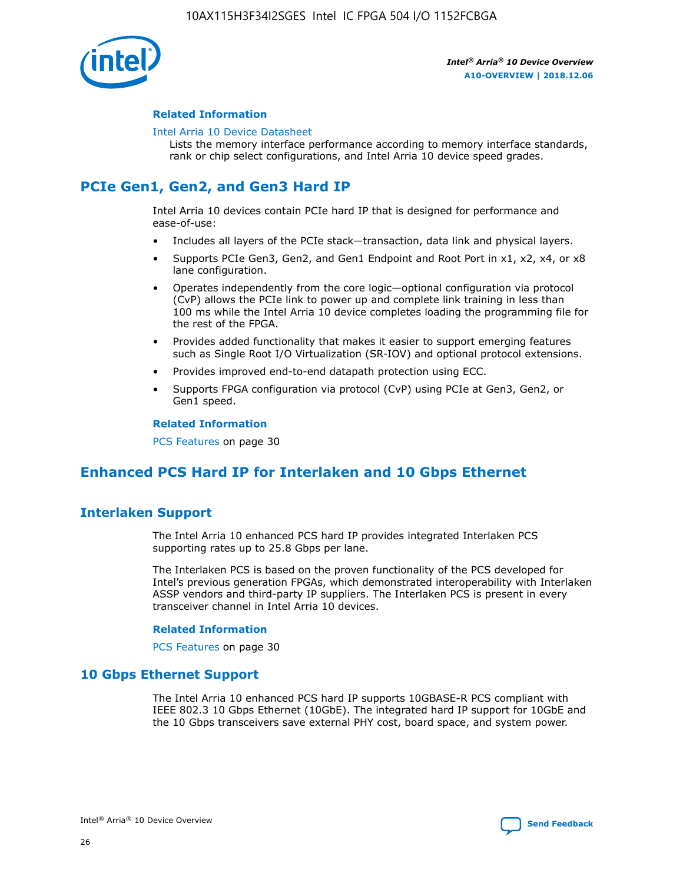

#### **Related Information**

#### [Intel Arria 10 Device Datasheet](https://www.intel.com/content/www/us/en/programmable/documentation/mcn1413182292568.html#mcn1413182153340)

Lists the memory interface performance according to memory interface standards, rank or chip select configurations, and Intel Arria 10 device speed grades.

# **PCIe Gen1, Gen2, and Gen3 Hard IP**

Intel Arria 10 devices contain PCIe hard IP that is designed for performance and ease-of-use:

- Includes all layers of the PCIe stack—transaction, data link and physical layers.
- Supports PCIe Gen3, Gen2, and Gen1 Endpoint and Root Port in x1, x2, x4, or x8 lane configuration.
- Operates independently from the core logic—optional configuration via protocol (CvP) allows the PCIe link to power up and complete link training in less than 100 ms while the Intel Arria 10 device completes loading the programming file for the rest of the FPGA.
- Provides added functionality that makes it easier to support emerging features such as Single Root I/O Virtualization (SR-IOV) and optional protocol extensions.
- Provides improved end-to-end datapath protection using ECC.
- Supports FPGA configuration via protocol (CvP) using PCIe at Gen3, Gen2, or Gen1 speed.

#### **Related Information**

PCS Features on page 30

# **Enhanced PCS Hard IP for Interlaken and 10 Gbps Ethernet**

## **Interlaken Support**

The Intel Arria 10 enhanced PCS hard IP provides integrated Interlaken PCS supporting rates up to 25.8 Gbps per lane.

The Interlaken PCS is based on the proven functionality of the PCS developed for Intel's previous generation FPGAs, which demonstrated interoperability with Interlaken ASSP vendors and third-party IP suppliers. The Interlaken PCS is present in every transceiver channel in Intel Arria 10 devices.

#### **Related Information**

PCS Features on page 30

## **10 Gbps Ethernet Support**

The Intel Arria 10 enhanced PCS hard IP supports 10GBASE-R PCS compliant with IEEE 802.3 10 Gbps Ethernet (10GbE). The integrated hard IP support for 10GbE and the 10 Gbps transceivers save external PHY cost, board space, and system power.

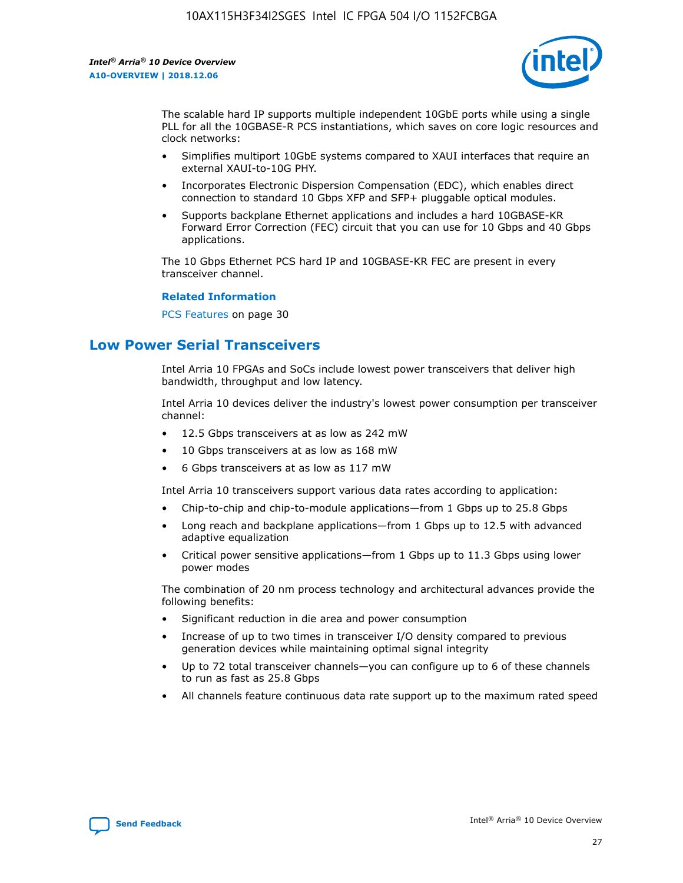

The scalable hard IP supports multiple independent 10GbE ports while using a single PLL for all the 10GBASE-R PCS instantiations, which saves on core logic resources and clock networks:

- Simplifies multiport 10GbE systems compared to XAUI interfaces that require an external XAUI-to-10G PHY.
- Incorporates Electronic Dispersion Compensation (EDC), which enables direct connection to standard 10 Gbps XFP and SFP+ pluggable optical modules.
- Supports backplane Ethernet applications and includes a hard 10GBASE-KR Forward Error Correction (FEC) circuit that you can use for 10 Gbps and 40 Gbps applications.

The 10 Gbps Ethernet PCS hard IP and 10GBASE-KR FEC are present in every transceiver channel.

#### **Related Information**

PCS Features on page 30

## **Low Power Serial Transceivers**

Intel Arria 10 FPGAs and SoCs include lowest power transceivers that deliver high bandwidth, throughput and low latency.

Intel Arria 10 devices deliver the industry's lowest power consumption per transceiver channel:

- 12.5 Gbps transceivers at as low as 242 mW
- 10 Gbps transceivers at as low as 168 mW
- 6 Gbps transceivers at as low as 117 mW

Intel Arria 10 transceivers support various data rates according to application:

- Chip-to-chip and chip-to-module applications—from 1 Gbps up to 25.8 Gbps
- Long reach and backplane applications—from 1 Gbps up to 12.5 with advanced adaptive equalization
- Critical power sensitive applications—from 1 Gbps up to 11.3 Gbps using lower power modes

The combination of 20 nm process technology and architectural advances provide the following benefits:

- Significant reduction in die area and power consumption
- Increase of up to two times in transceiver I/O density compared to previous generation devices while maintaining optimal signal integrity
- Up to 72 total transceiver channels—you can configure up to 6 of these channels to run as fast as 25.8 Gbps
- All channels feature continuous data rate support up to the maximum rated speed

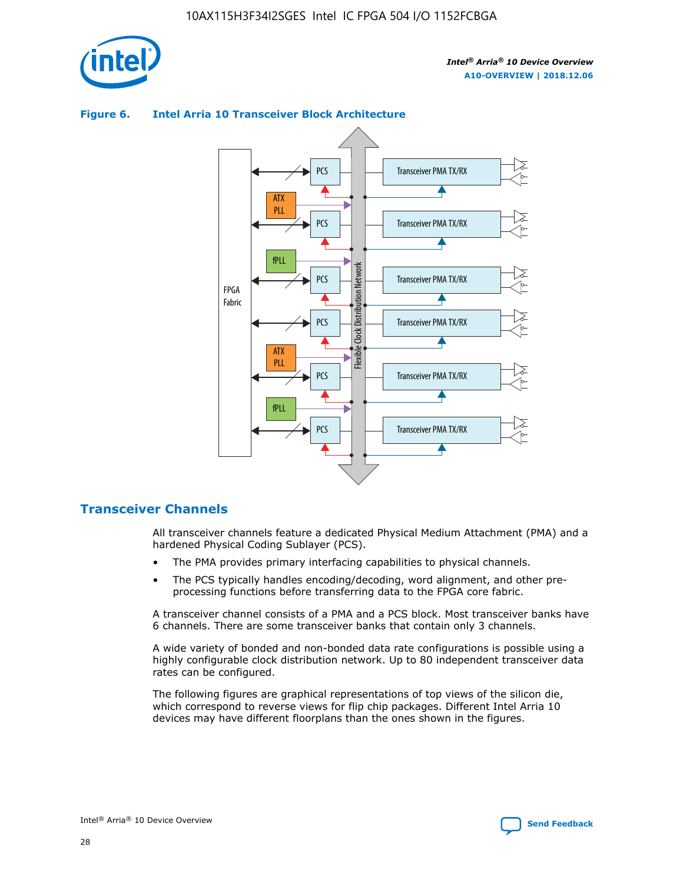



## **Figure 6. Intel Arria 10 Transceiver Block Architecture**

## **Transceiver Channels**

All transceiver channels feature a dedicated Physical Medium Attachment (PMA) and a hardened Physical Coding Sublayer (PCS).

- The PMA provides primary interfacing capabilities to physical channels.
- The PCS typically handles encoding/decoding, word alignment, and other preprocessing functions before transferring data to the FPGA core fabric.

A transceiver channel consists of a PMA and a PCS block. Most transceiver banks have 6 channels. There are some transceiver banks that contain only 3 channels.

A wide variety of bonded and non-bonded data rate configurations is possible using a highly configurable clock distribution network. Up to 80 independent transceiver data rates can be configured.

The following figures are graphical representations of top views of the silicon die, which correspond to reverse views for flip chip packages. Different Intel Arria 10 devices may have different floorplans than the ones shown in the figures.

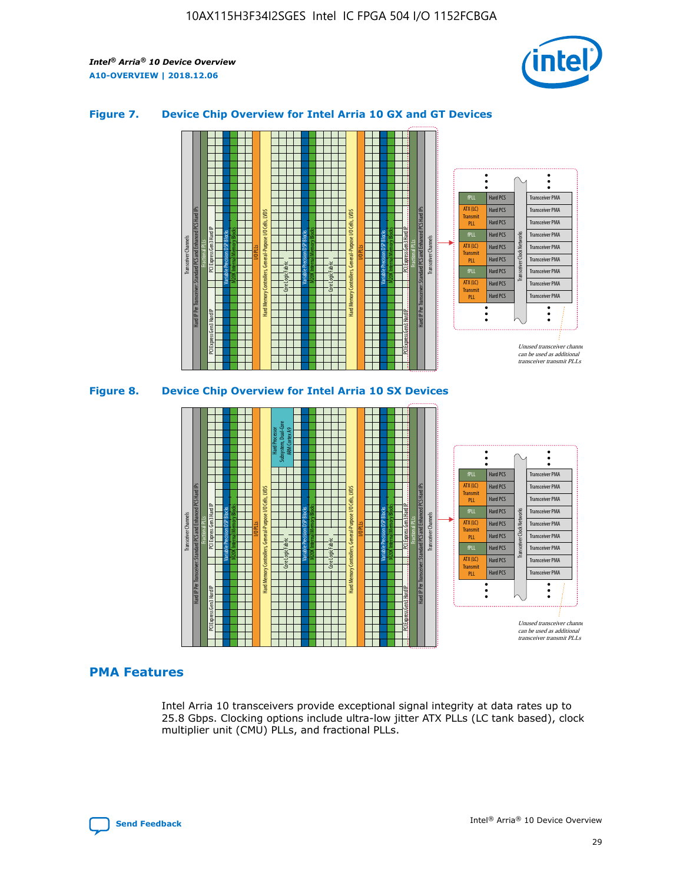

## **Figure 7. Device Chip Overview for Intel Arria 10 GX and GT Devices**





## **PMA Features**

Intel Arria 10 transceivers provide exceptional signal integrity at data rates up to 25.8 Gbps. Clocking options include ultra-low jitter ATX PLLs (LC tank based), clock multiplier unit (CMU) PLLs, and fractional PLLs.

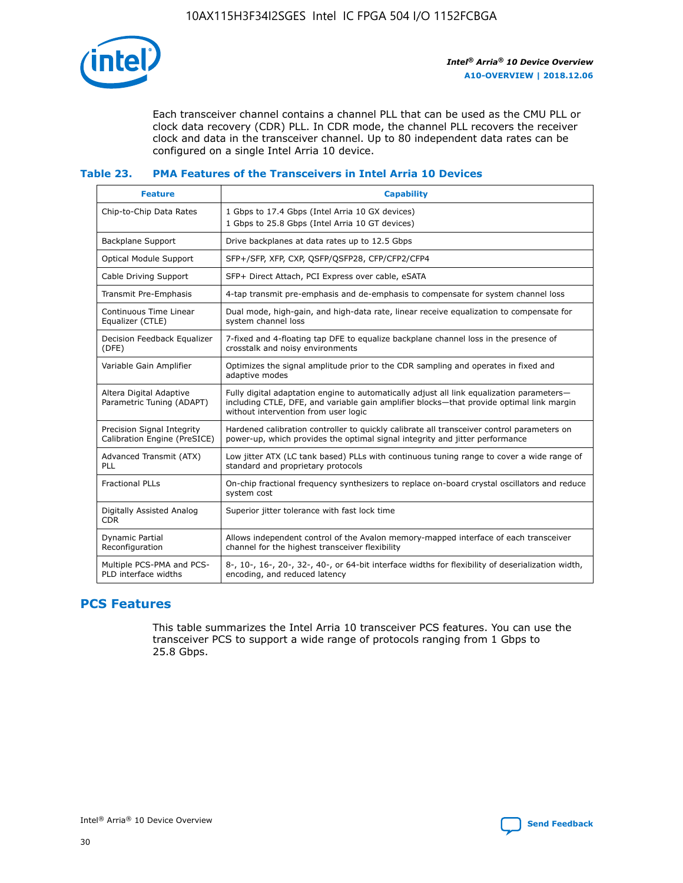

Each transceiver channel contains a channel PLL that can be used as the CMU PLL or clock data recovery (CDR) PLL. In CDR mode, the channel PLL recovers the receiver clock and data in the transceiver channel. Up to 80 independent data rates can be configured on a single Intel Arria 10 device.

### **Table 23. PMA Features of the Transceivers in Intel Arria 10 Devices**

| <b>Feature</b>                                             | <b>Capability</b>                                                                                                                                                                                                             |
|------------------------------------------------------------|-------------------------------------------------------------------------------------------------------------------------------------------------------------------------------------------------------------------------------|
| Chip-to-Chip Data Rates                                    | 1 Gbps to 17.4 Gbps (Intel Arria 10 GX devices)<br>1 Gbps to 25.8 Gbps (Intel Arria 10 GT devices)                                                                                                                            |
| Backplane Support                                          | Drive backplanes at data rates up to 12.5 Gbps                                                                                                                                                                                |
| Optical Module Support                                     | SFP+/SFP, XFP, CXP, QSFP/QSFP28, CFP/CFP2/CFP4                                                                                                                                                                                |
| Cable Driving Support                                      | SFP+ Direct Attach, PCI Express over cable, eSATA                                                                                                                                                                             |
| Transmit Pre-Emphasis                                      | 4-tap transmit pre-emphasis and de-emphasis to compensate for system channel loss                                                                                                                                             |
| Continuous Time Linear<br>Equalizer (CTLE)                 | Dual mode, high-gain, and high-data rate, linear receive equalization to compensate for<br>system channel loss                                                                                                                |
| Decision Feedback Equalizer<br>(DFE)                       | 7-fixed and 4-floating tap DFE to equalize backplane channel loss in the presence of<br>crosstalk and noisy environments                                                                                                      |
| Variable Gain Amplifier                                    | Optimizes the signal amplitude prior to the CDR sampling and operates in fixed and<br>adaptive modes                                                                                                                          |
| Altera Digital Adaptive<br>Parametric Tuning (ADAPT)       | Fully digital adaptation engine to automatically adjust all link equalization parameters-<br>including CTLE, DFE, and variable gain amplifier blocks—that provide optimal link margin<br>without intervention from user logic |
| Precision Signal Integrity<br>Calibration Engine (PreSICE) | Hardened calibration controller to quickly calibrate all transceiver control parameters on<br>power-up, which provides the optimal signal integrity and jitter performance                                                    |
| Advanced Transmit (ATX)<br><b>PLL</b>                      | Low jitter ATX (LC tank based) PLLs with continuous tuning range to cover a wide range of<br>standard and proprietary protocols                                                                                               |
| <b>Fractional PLLs</b>                                     | On-chip fractional frequency synthesizers to replace on-board crystal oscillators and reduce<br>system cost                                                                                                                   |
| Digitally Assisted Analog<br><b>CDR</b>                    | Superior jitter tolerance with fast lock time                                                                                                                                                                                 |
| Dynamic Partial<br>Reconfiguration                         | Allows independent control of the Avalon memory-mapped interface of each transceiver<br>channel for the highest transceiver flexibility                                                                                       |
| Multiple PCS-PMA and PCS-<br>PLD interface widths          | 8-, 10-, 16-, 20-, 32-, 40-, or 64-bit interface widths for flexibility of deserialization width,<br>encoding, and reduced latency                                                                                            |

## **PCS Features**

This table summarizes the Intel Arria 10 transceiver PCS features. You can use the transceiver PCS to support a wide range of protocols ranging from 1 Gbps to 25.8 Gbps.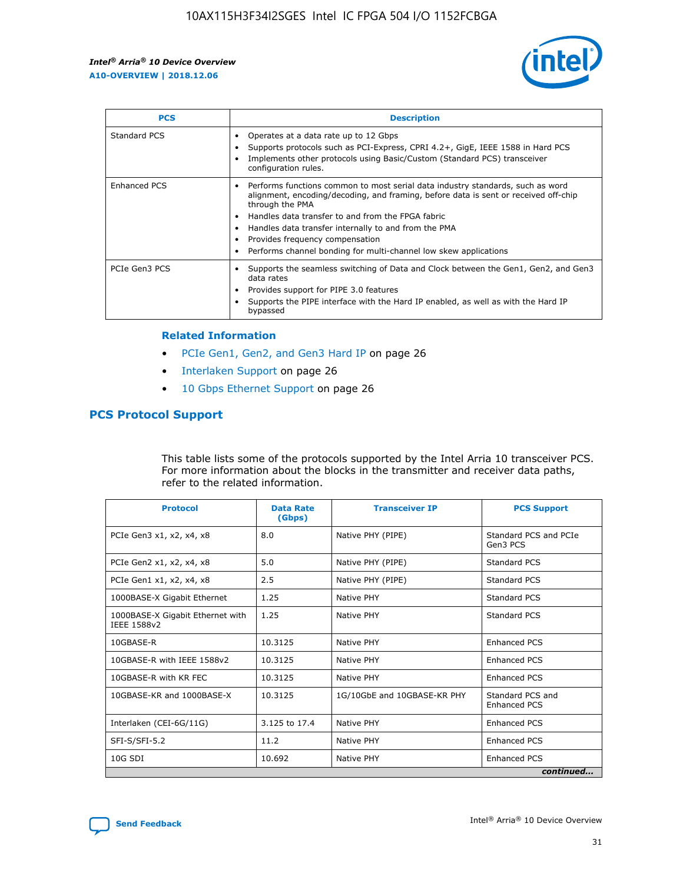

| <b>PCS</b>    | <b>Description</b>                                                                                                                                                                                                                                                                                                                                                                                             |
|---------------|----------------------------------------------------------------------------------------------------------------------------------------------------------------------------------------------------------------------------------------------------------------------------------------------------------------------------------------------------------------------------------------------------------------|
| Standard PCS  | Operates at a data rate up to 12 Gbps<br>Supports protocols such as PCI-Express, CPRI 4.2+, GigE, IEEE 1588 in Hard PCS<br>Implements other protocols using Basic/Custom (Standard PCS) transceiver<br>configuration rules.                                                                                                                                                                                    |
| Enhanced PCS  | Performs functions common to most serial data industry standards, such as word<br>alignment, encoding/decoding, and framing, before data is sent or received off-chip<br>through the PMA<br>• Handles data transfer to and from the FPGA fabric<br>Handles data transfer internally to and from the PMA<br>Provides frequency compensation<br>Performs channel bonding for multi-channel low skew applications |
| PCIe Gen3 PCS | Supports the seamless switching of Data and Clock between the Gen1, Gen2, and Gen3<br>data rates<br>Provides support for PIPE 3.0 features<br>Supports the PIPE interface with the Hard IP enabled, as well as with the Hard IP<br>bypassed                                                                                                                                                                    |

#### **Related Information**

- PCIe Gen1, Gen2, and Gen3 Hard IP on page 26
- Interlaken Support on page 26
- 10 Gbps Ethernet Support on page 26

## **PCS Protocol Support**

This table lists some of the protocols supported by the Intel Arria 10 transceiver PCS. For more information about the blocks in the transmitter and receiver data paths, refer to the related information.

| <b>Protocol</b>                                 | <b>Data Rate</b><br>(Gbps) | <b>Transceiver IP</b>       | <b>PCS Support</b>                |
|-------------------------------------------------|----------------------------|-----------------------------|-----------------------------------|
| PCIe Gen3 x1, x2, x4, x8                        | 8.0                        | Native PHY (PIPE)           | Standard PCS and PCIe<br>Gen3 PCS |
| PCIe Gen2 x1, x2, x4, x8                        | 5.0                        | Native PHY (PIPE)           | <b>Standard PCS</b>               |
| PCIe Gen1 x1, x2, x4, x8                        | 2.5                        | Native PHY (PIPE)           | Standard PCS                      |
| 1000BASE-X Gigabit Ethernet                     | 1.25                       | Native PHY                  | Standard PCS                      |
| 1000BASE-X Gigabit Ethernet with<br>IEEE 1588v2 | 1.25                       | Native PHY                  | Standard PCS                      |
| 10GBASE-R                                       | 10.3125                    | Native PHY                  | <b>Enhanced PCS</b>               |
| 10GBASE-R with IEEE 1588v2                      | 10.3125                    | Native PHY                  | <b>Enhanced PCS</b>               |
| 10GBASE-R with KR FEC                           | 10.3125                    | Native PHY                  | <b>Enhanced PCS</b>               |
| 10GBASE-KR and 1000BASE-X                       | 10.3125                    | 1G/10GbE and 10GBASE-KR PHY | Standard PCS and<br>Enhanced PCS  |
| Interlaken (CEI-6G/11G)                         | 3.125 to 17.4              | Native PHY                  | <b>Enhanced PCS</b>               |
| SFI-S/SFI-5.2                                   | 11.2                       | Native PHY                  | <b>Enhanced PCS</b>               |
| $10G$ SDI                                       | 10.692                     | Native PHY                  | <b>Enhanced PCS</b>               |
|                                                 |                            |                             | continued                         |



**[Send Feedback](mailto:FPGAtechdocfeedback@intel.com?subject=Feedback%20on%20Intel%20Arria%2010%20Device%20Overview%20(A10-OVERVIEW%202018.12.06)&body=We%20appreciate%20your%20feedback.%20In%20your%20comments,%20also%20specify%20the%20page%20number%20or%20paragraph.%20Thank%20you.) Intel®** Arria<sup>®</sup> 10 Device Overview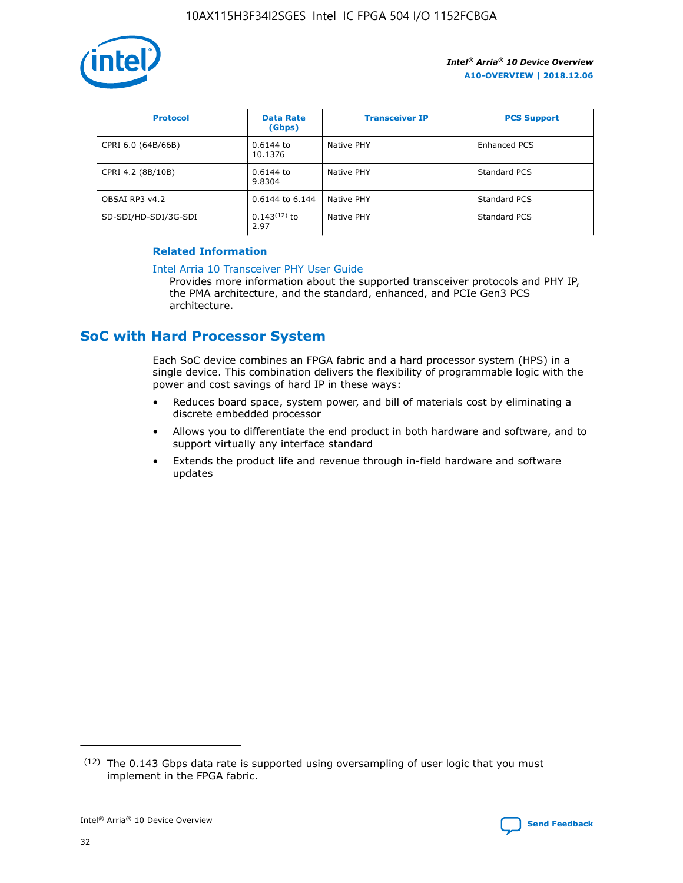

| <b>Protocol</b>      | <b>Data Rate</b><br>(Gbps) | <b>Transceiver IP</b> | <b>PCS Support</b> |
|----------------------|----------------------------|-----------------------|--------------------|
| CPRI 6.0 (64B/66B)   | 0.6144 to<br>10.1376       | Native PHY            | Enhanced PCS       |
| CPRI 4.2 (8B/10B)    | 0.6144 to<br>9.8304        | Native PHY            | Standard PCS       |
| OBSAI RP3 v4.2       | 0.6144 to 6.144            | Native PHY            | Standard PCS       |
| SD-SDI/HD-SDI/3G-SDI | $0.143(12)$ to<br>2.97     | Native PHY            | Standard PCS       |

## **Related Information**

#### [Intel Arria 10 Transceiver PHY User Guide](https://www.intel.com/content/www/us/en/programmable/documentation/nik1398707230472.html#nik1398707091164)

Provides more information about the supported transceiver protocols and PHY IP, the PMA architecture, and the standard, enhanced, and PCIe Gen3 PCS architecture.

## **SoC with Hard Processor System**

Each SoC device combines an FPGA fabric and a hard processor system (HPS) in a single device. This combination delivers the flexibility of programmable logic with the power and cost savings of hard IP in these ways:

- Reduces board space, system power, and bill of materials cost by eliminating a discrete embedded processor
- Allows you to differentiate the end product in both hardware and software, and to support virtually any interface standard
- Extends the product life and revenue through in-field hardware and software updates

 $(12)$  The 0.143 Gbps data rate is supported using oversampling of user logic that you must implement in the FPGA fabric.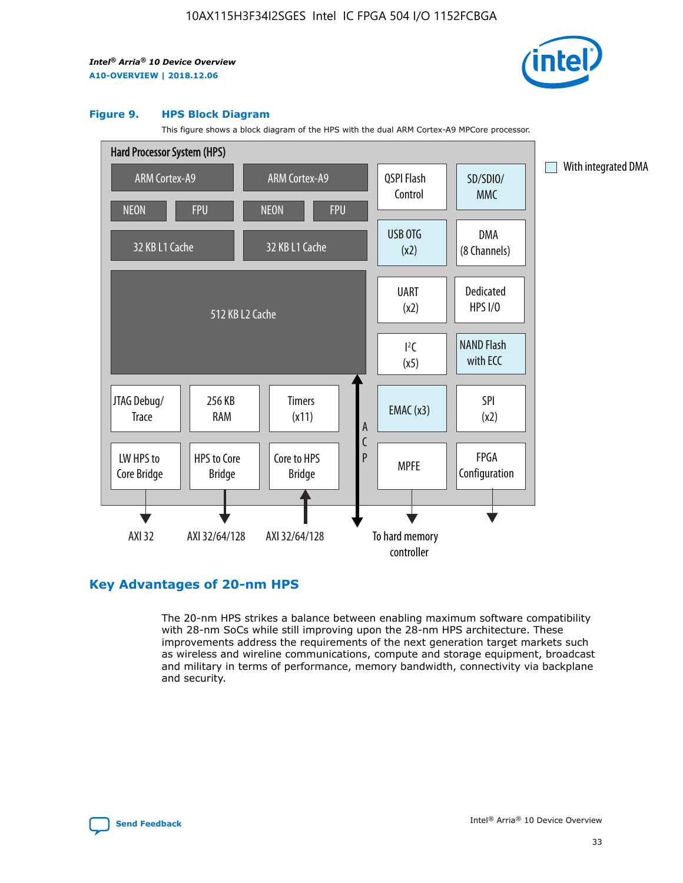

#### **Figure 9. HPS Block Diagram**

This figure shows a block diagram of the HPS with the dual ARM Cortex-A9 MPCore processor.



## **Key Advantages of 20-nm HPS**

The 20-nm HPS strikes a balance between enabling maximum software compatibility with 28-nm SoCs while still improving upon the 28-nm HPS architecture. These improvements address the requirements of the next generation target markets such as wireless and wireline communications, compute and storage equipment, broadcast and military in terms of performance, memory bandwidth, connectivity via backplane and security.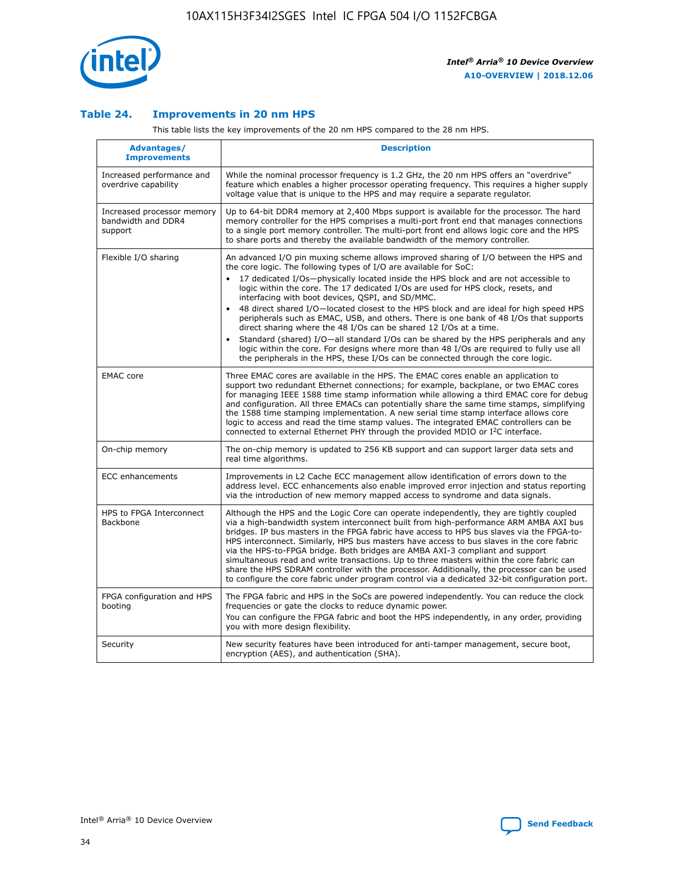

## **Table 24. Improvements in 20 nm HPS**

This table lists the key improvements of the 20 nm HPS compared to the 28 nm HPS.

| Advantages/<br><b>Improvements</b>                          | <b>Description</b>                                                                                                                                                                                                                                                                                                                                                                                                                                                                                                                                                                                                                                                                                                                                                                                                                   |
|-------------------------------------------------------------|--------------------------------------------------------------------------------------------------------------------------------------------------------------------------------------------------------------------------------------------------------------------------------------------------------------------------------------------------------------------------------------------------------------------------------------------------------------------------------------------------------------------------------------------------------------------------------------------------------------------------------------------------------------------------------------------------------------------------------------------------------------------------------------------------------------------------------------|
| Increased performance and<br>overdrive capability           | While the nominal processor frequency is 1.2 GHz, the 20 nm HPS offers an "overdrive"<br>feature which enables a higher processor operating frequency. This requires a higher supply<br>voltage value that is unique to the HPS and may require a separate regulator.                                                                                                                                                                                                                                                                                                                                                                                                                                                                                                                                                                |
| Increased processor memory<br>bandwidth and DDR4<br>support | Up to 64-bit DDR4 memory at 2,400 Mbps support is available for the processor. The hard<br>memory controller for the HPS comprises a multi-port front end that manages connections<br>to a single port memory controller. The multi-port front end allows logic core and the HPS<br>to share ports and thereby the available bandwidth of the memory controller.                                                                                                                                                                                                                                                                                                                                                                                                                                                                     |
| Flexible I/O sharing                                        | An advanced I/O pin muxing scheme allows improved sharing of I/O between the HPS and<br>the core logic. The following types of I/O are available for SoC:<br>17 dedicated I/Os-physically located inside the HPS block and are not accessible to<br>logic within the core. The 17 dedicated I/Os are used for HPS clock, resets, and<br>interfacing with boot devices, QSPI, and SD/MMC.<br>48 direct shared I/O-located closest to the HPS block and are ideal for high speed HPS<br>peripherals such as EMAC, USB, and others. There is one bank of 48 I/Os that supports<br>direct sharing where the 48 I/Os can be shared 12 I/Os at a time.<br>Standard (shared) I/O-all standard I/Os can be shared by the HPS peripherals and any<br>logic within the core. For designs where more than 48 I/Os are reguired to fully use all |
| <b>EMAC</b> core                                            | the peripherals in the HPS, these I/Os can be connected through the core logic.<br>Three EMAC cores are available in the HPS. The EMAC cores enable an application to<br>support two redundant Ethernet connections; for example, backplane, or two EMAC cores<br>for managing IEEE 1588 time stamp information while allowing a third EMAC core for debug<br>and configuration. All three EMACs can potentially share the same time stamps, simplifying<br>the 1588 time stamping implementation. A new serial time stamp interface allows core<br>logic to access and read the time stamp values. The integrated EMAC controllers can be<br>connected to external Ethernet PHY through the provided MDIO or I <sup>2</sup> C interface.                                                                                            |
| On-chip memory                                              | The on-chip memory is updated to 256 KB support and can support larger data sets and<br>real time algorithms.                                                                                                                                                                                                                                                                                                                                                                                                                                                                                                                                                                                                                                                                                                                        |
| <b>ECC</b> enhancements                                     | Improvements in L2 Cache ECC management allow identification of errors down to the<br>address level. ECC enhancements also enable improved error injection and status reporting<br>via the introduction of new memory mapped access to syndrome and data signals.                                                                                                                                                                                                                                                                                                                                                                                                                                                                                                                                                                    |
| HPS to FPGA Interconnect<br>Backbone                        | Although the HPS and the Logic Core can operate independently, they are tightly coupled<br>via a high-bandwidth system interconnect built from high-performance ARM AMBA AXI bus<br>bridges. IP bus masters in the FPGA fabric have access to HPS bus slaves via the FPGA-to-<br>HPS interconnect. Similarly, HPS bus masters have access to bus slaves in the core fabric<br>via the HPS-to-FPGA bridge. Both bridges are AMBA AXI-3 compliant and support<br>simultaneous read and write transactions. Up to three masters within the core fabric can<br>share the HPS SDRAM controller with the processor. Additionally, the processor can be used<br>to configure the core fabric under program control via a dedicated 32-bit configuration port.                                                                               |
| FPGA configuration and HPS<br>booting                       | The FPGA fabric and HPS in the SoCs are powered independently. You can reduce the clock<br>frequencies or gate the clocks to reduce dynamic power.<br>You can configure the FPGA fabric and boot the HPS independently, in any order, providing<br>you with more design flexibility.                                                                                                                                                                                                                                                                                                                                                                                                                                                                                                                                                 |
| Security                                                    | New security features have been introduced for anti-tamper management, secure boot,<br>encryption (AES), and authentication (SHA).                                                                                                                                                                                                                                                                                                                                                                                                                                                                                                                                                                                                                                                                                                   |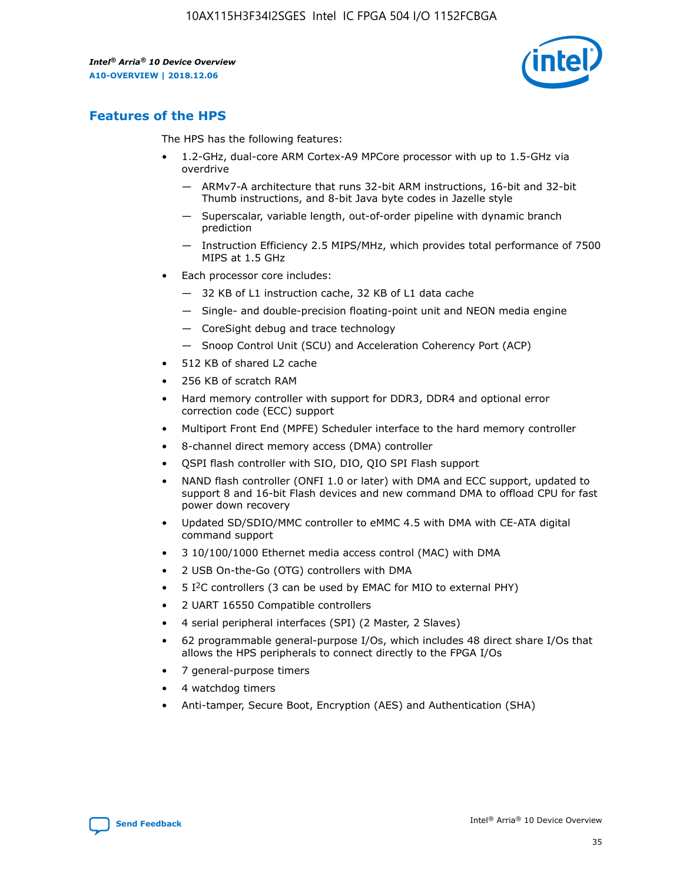

## **Features of the HPS**

The HPS has the following features:

- 1.2-GHz, dual-core ARM Cortex-A9 MPCore processor with up to 1.5-GHz via overdrive
	- ARMv7-A architecture that runs 32-bit ARM instructions, 16-bit and 32-bit Thumb instructions, and 8-bit Java byte codes in Jazelle style
	- Superscalar, variable length, out-of-order pipeline with dynamic branch prediction
	- Instruction Efficiency 2.5 MIPS/MHz, which provides total performance of 7500 MIPS at 1.5 GHz
- Each processor core includes:
	- 32 KB of L1 instruction cache, 32 KB of L1 data cache
	- Single- and double-precision floating-point unit and NEON media engine
	- CoreSight debug and trace technology
	- Snoop Control Unit (SCU) and Acceleration Coherency Port (ACP)
- 512 KB of shared L2 cache
- 256 KB of scratch RAM
- Hard memory controller with support for DDR3, DDR4 and optional error correction code (ECC) support
- Multiport Front End (MPFE) Scheduler interface to the hard memory controller
- 8-channel direct memory access (DMA) controller
- QSPI flash controller with SIO, DIO, QIO SPI Flash support
- NAND flash controller (ONFI 1.0 or later) with DMA and ECC support, updated to support 8 and 16-bit Flash devices and new command DMA to offload CPU for fast power down recovery
- Updated SD/SDIO/MMC controller to eMMC 4.5 with DMA with CE-ATA digital command support
- 3 10/100/1000 Ethernet media access control (MAC) with DMA
- 2 USB On-the-Go (OTG) controllers with DMA
- $\bullet$  5 I<sup>2</sup>C controllers (3 can be used by EMAC for MIO to external PHY)
- 2 UART 16550 Compatible controllers
- 4 serial peripheral interfaces (SPI) (2 Master, 2 Slaves)
- 62 programmable general-purpose I/Os, which includes 48 direct share I/Os that allows the HPS peripherals to connect directly to the FPGA I/Os
- 7 general-purpose timers
- 4 watchdog timers
- Anti-tamper, Secure Boot, Encryption (AES) and Authentication (SHA)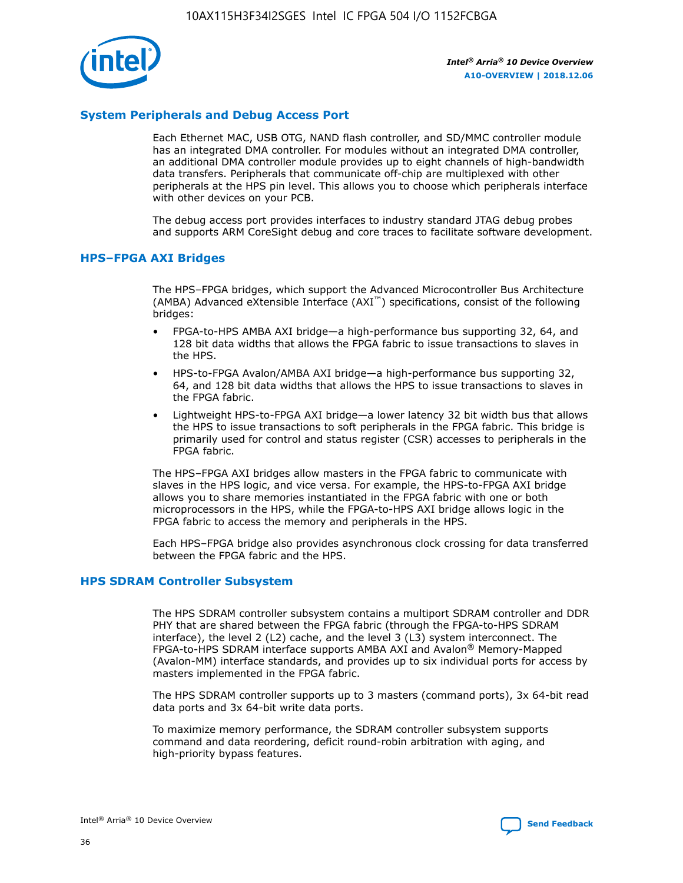

## **System Peripherals and Debug Access Port**

Each Ethernet MAC, USB OTG, NAND flash controller, and SD/MMC controller module has an integrated DMA controller. For modules without an integrated DMA controller, an additional DMA controller module provides up to eight channels of high-bandwidth data transfers. Peripherals that communicate off-chip are multiplexed with other peripherals at the HPS pin level. This allows you to choose which peripherals interface with other devices on your PCB.

The debug access port provides interfaces to industry standard JTAG debug probes and supports ARM CoreSight debug and core traces to facilitate software development.

### **HPS–FPGA AXI Bridges**

The HPS–FPGA bridges, which support the Advanced Microcontroller Bus Architecture (AMBA) Advanced eXtensible Interface (AXI™) specifications, consist of the following bridges:

- FPGA-to-HPS AMBA AXI bridge—a high-performance bus supporting 32, 64, and 128 bit data widths that allows the FPGA fabric to issue transactions to slaves in the HPS.
- HPS-to-FPGA Avalon/AMBA AXI bridge—a high-performance bus supporting 32, 64, and 128 bit data widths that allows the HPS to issue transactions to slaves in the FPGA fabric.
- Lightweight HPS-to-FPGA AXI bridge—a lower latency 32 bit width bus that allows the HPS to issue transactions to soft peripherals in the FPGA fabric. This bridge is primarily used for control and status register (CSR) accesses to peripherals in the FPGA fabric.

The HPS–FPGA AXI bridges allow masters in the FPGA fabric to communicate with slaves in the HPS logic, and vice versa. For example, the HPS-to-FPGA AXI bridge allows you to share memories instantiated in the FPGA fabric with one or both microprocessors in the HPS, while the FPGA-to-HPS AXI bridge allows logic in the FPGA fabric to access the memory and peripherals in the HPS.

Each HPS–FPGA bridge also provides asynchronous clock crossing for data transferred between the FPGA fabric and the HPS.

#### **HPS SDRAM Controller Subsystem**

The HPS SDRAM controller subsystem contains a multiport SDRAM controller and DDR PHY that are shared between the FPGA fabric (through the FPGA-to-HPS SDRAM interface), the level 2 (L2) cache, and the level 3 (L3) system interconnect. The FPGA-to-HPS SDRAM interface supports AMBA AXI and Avalon® Memory-Mapped (Avalon-MM) interface standards, and provides up to six individual ports for access by masters implemented in the FPGA fabric.

The HPS SDRAM controller supports up to 3 masters (command ports), 3x 64-bit read data ports and 3x 64-bit write data ports.

To maximize memory performance, the SDRAM controller subsystem supports command and data reordering, deficit round-robin arbitration with aging, and high-priority bypass features.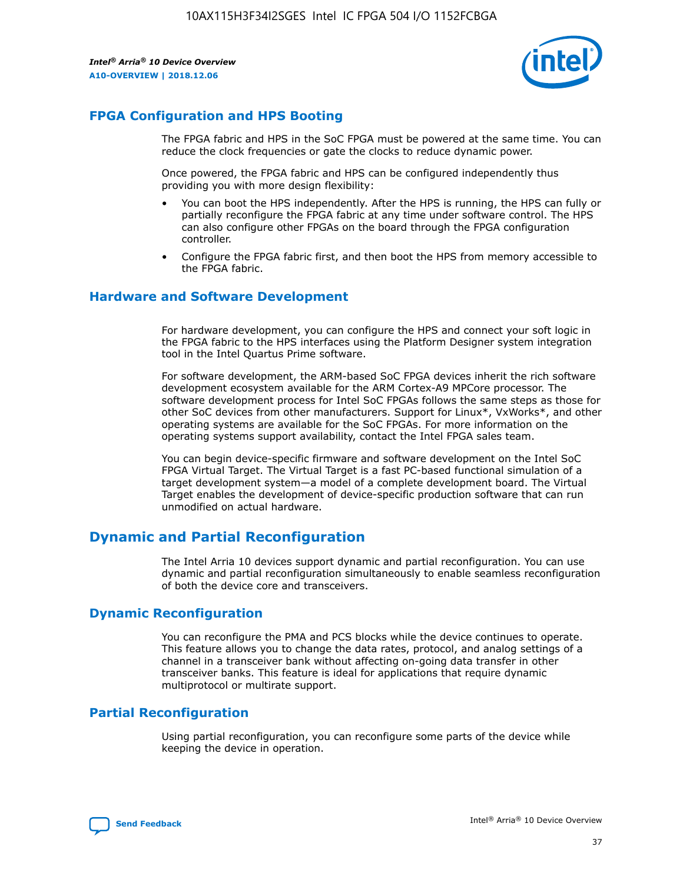

## **FPGA Configuration and HPS Booting**

The FPGA fabric and HPS in the SoC FPGA must be powered at the same time. You can reduce the clock frequencies or gate the clocks to reduce dynamic power.

Once powered, the FPGA fabric and HPS can be configured independently thus providing you with more design flexibility:

- You can boot the HPS independently. After the HPS is running, the HPS can fully or partially reconfigure the FPGA fabric at any time under software control. The HPS can also configure other FPGAs on the board through the FPGA configuration controller.
- Configure the FPGA fabric first, and then boot the HPS from memory accessible to the FPGA fabric.

## **Hardware and Software Development**

For hardware development, you can configure the HPS and connect your soft logic in the FPGA fabric to the HPS interfaces using the Platform Designer system integration tool in the Intel Quartus Prime software.

For software development, the ARM-based SoC FPGA devices inherit the rich software development ecosystem available for the ARM Cortex-A9 MPCore processor. The software development process for Intel SoC FPGAs follows the same steps as those for other SoC devices from other manufacturers. Support for Linux\*, VxWorks\*, and other operating systems are available for the SoC FPGAs. For more information on the operating systems support availability, contact the Intel FPGA sales team.

You can begin device-specific firmware and software development on the Intel SoC FPGA Virtual Target. The Virtual Target is a fast PC-based functional simulation of a target development system—a model of a complete development board. The Virtual Target enables the development of device-specific production software that can run unmodified on actual hardware.

## **Dynamic and Partial Reconfiguration**

The Intel Arria 10 devices support dynamic and partial reconfiguration. You can use dynamic and partial reconfiguration simultaneously to enable seamless reconfiguration of both the device core and transceivers.

## **Dynamic Reconfiguration**

You can reconfigure the PMA and PCS blocks while the device continues to operate. This feature allows you to change the data rates, protocol, and analog settings of a channel in a transceiver bank without affecting on-going data transfer in other transceiver banks. This feature is ideal for applications that require dynamic multiprotocol or multirate support.

## **Partial Reconfiguration**

Using partial reconfiguration, you can reconfigure some parts of the device while keeping the device in operation.

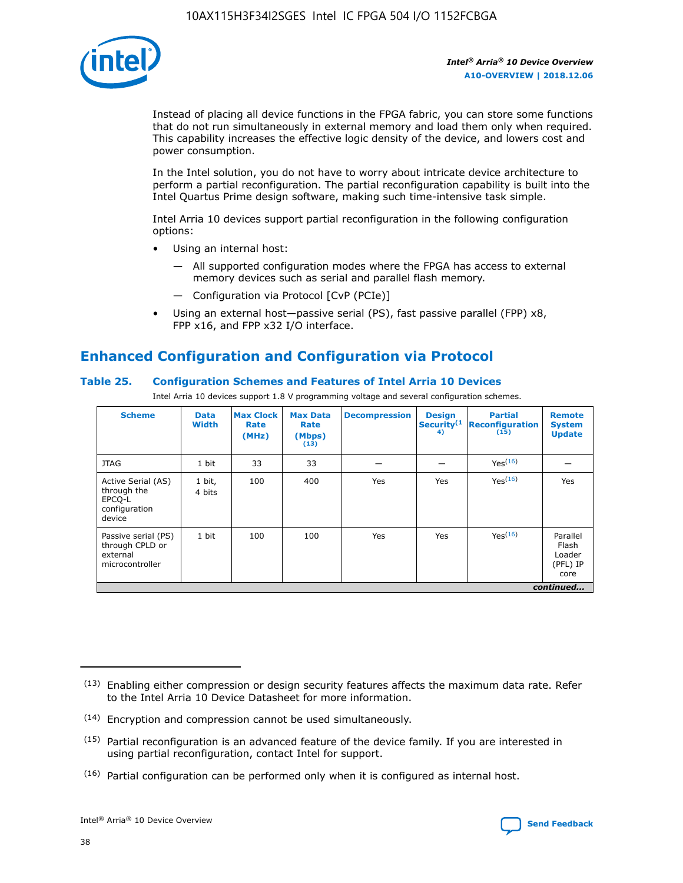

Instead of placing all device functions in the FPGA fabric, you can store some functions that do not run simultaneously in external memory and load them only when required. This capability increases the effective logic density of the device, and lowers cost and power consumption.

In the Intel solution, you do not have to worry about intricate device architecture to perform a partial reconfiguration. The partial reconfiguration capability is built into the Intel Quartus Prime design software, making such time-intensive task simple.

Intel Arria 10 devices support partial reconfiguration in the following configuration options:

- Using an internal host:
	- All supported configuration modes where the FPGA has access to external memory devices such as serial and parallel flash memory.
	- Configuration via Protocol [CvP (PCIe)]
- Using an external host—passive serial (PS), fast passive parallel (FPP) x8, FPP x16, and FPP x32 I/O interface.

# **Enhanced Configuration and Configuration via Protocol**

## **Table 25. Configuration Schemes and Features of Intel Arria 10 Devices**

Intel Arria 10 devices support 1.8 V programming voltage and several configuration schemes.

| <b>Scheme</b>                                                          | <b>Data</b><br><b>Width</b> | <b>Max Clock</b><br>Rate<br>(MHz) | <b>Max Data</b><br>Rate<br>(Mbps)<br>(13) | <b>Decompression</b> | <b>Design</b><br>Security <sup>(1</sup><br>4) | <b>Partial</b><br><b>Reconfiguration</b><br>(15) | <b>Remote</b><br><b>System</b><br><b>Update</b> |
|------------------------------------------------------------------------|-----------------------------|-----------------------------------|-------------------------------------------|----------------------|-----------------------------------------------|--------------------------------------------------|-------------------------------------------------|
| <b>JTAG</b>                                                            | 1 bit                       | 33                                | 33                                        |                      |                                               | Yes(16)                                          |                                                 |
| Active Serial (AS)<br>through the<br>EPCO-L<br>configuration<br>device | 1 bit,<br>4 bits            | 100                               | 400                                       | Yes                  | Yes                                           | $Y_{PS}(16)$                                     | Yes                                             |
| Passive serial (PS)<br>through CPLD or<br>external<br>microcontroller  | 1 bit                       | 100                               | 100                                       | Yes                  | Yes                                           | Yes <sup>(16)</sup>                              | Parallel<br>Flash<br>Loader<br>(PFL) IP<br>core |
|                                                                        | continued                   |                                   |                                           |                      |                                               |                                                  |                                                 |

<sup>(13)</sup> Enabling either compression or design security features affects the maximum data rate. Refer to the Intel Arria 10 Device Datasheet for more information.

<sup>(14)</sup> Encryption and compression cannot be used simultaneously.

 $(15)$  Partial reconfiguration is an advanced feature of the device family. If you are interested in using partial reconfiguration, contact Intel for support.

 $(16)$  Partial configuration can be performed only when it is configured as internal host.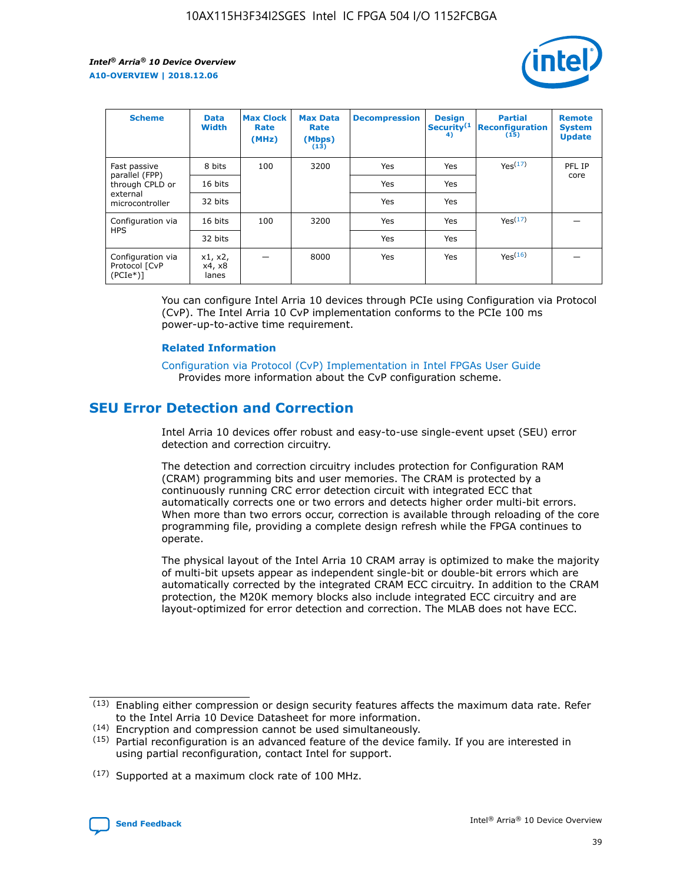

| <b>Scheme</b>                                    | <b>Data</b><br><b>Width</b> | <b>Max Clock</b><br>Rate<br>(MHz) | <b>Max Data</b><br>Rate<br>(Mbps)<br>(13) | <b>Decompression</b> | <b>Design</b><br>Security <sup>(1</sup><br>4) | <b>Partial</b><br><b>Reconfiguration</b><br>(15) | <b>Remote</b><br><b>System</b><br><b>Update</b> |
|--------------------------------------------------|-----------------------------|-----------------------------------|-------------------------------------------|----------------------|-----------------------------------------------|--------------------------------------------------|-------------------------------------------------|
| Fast passive                                     | 8 bits                      | 100                               | 3200                                      | Yes                  | Yes                                           | Yes(17)                                          | PFL IP                                          |
| parallel (FPP)<br>through CPLD or                | 16 bits                     |                                   |                                           | Yes                  | Yes                                           |                                                  | core                                            |
| external<br>microcontroller                      | 32 bits                     |                                   |                                           | Yes                  | Yes                                           |                                                  |                                                 |
| Configuration via                                | 16 bits                     | 100                               | 3200                                      | Yes                  | Yes                                           | Yes <sup>(17)</sup>                              |                                                 |
| <b>HPS</b>                                       | 32 bits                     |                                   |                                           | Yes                  | Yes                                           |                                                  |                                                 |
| Configuration via<br>Protocol [CvP<br>$(PCIe^*)$ | x1, x2,<br>x4, x8<br>lanes  |                                   | 8000                                      | Yes                  | Yes                                           | Yes(16)                                          |                                                 |

You can configure Intel Arria 10 devices through PCIe using Configuration via Protocol (CvP). The Intel Arria 10 CvP implementation conforms to the PCIe 100 ms power-up-to-active time requirement.

#### **Related Information**

[Configuration via Protocol \(CvP\) Implementation in Intel FPGAs User Guide](https://www.intel.com/content/www/us/en/programmable/documentation/dsu1441819344145.html#dsu1442269728522) Provides more information about the CvP configuration scheme.

## **SEU Error Detection and Correction**

Intel Arria 10 devices offer robust and easy-to-use single-event upset (SEU) error detection and correction circuitry.

The detection and correction circuitry includes protection for Configuration RAM (CRAM) programming bits and user memories. The CRAM is protected by a continuously running CRC error detection circuit with integrated ECC that automatically corrects one or two errors and detects higher order multi-bit errors. When more than two errors occur, correction is available through reloading of the core programming file, providing a complete design refresh while the FPGA continues to operate.

The physical layout of the Intel Arria 10 CRAM array is optimized to make the majority of multi-bit upsets appear as independent single-bit or double-bit errors which are automatically corrected by the integrated CRAM ECC circuitry. In addition to the CRAM protection, the M20K memory blocks also include integrated ECC circuitry and are layout-optimized for error detection and correction. The MLAB does not have ECC.

<sup>(17)</sup> Supported at a maximum clock rate of 100 MHz.



 $(13)$  Enabling either compression or design security features affects the maximum data rate. Refer to the Intel Arria 10 Device Datasheet for more information.

<sup>(14)</sup> Encryption and compression cannot be used simultaneously.

 $(15)$  Partial reconfiguration is an advanced feature of the device family. If you are interested in using partial reconfiguration, contact Intel for support.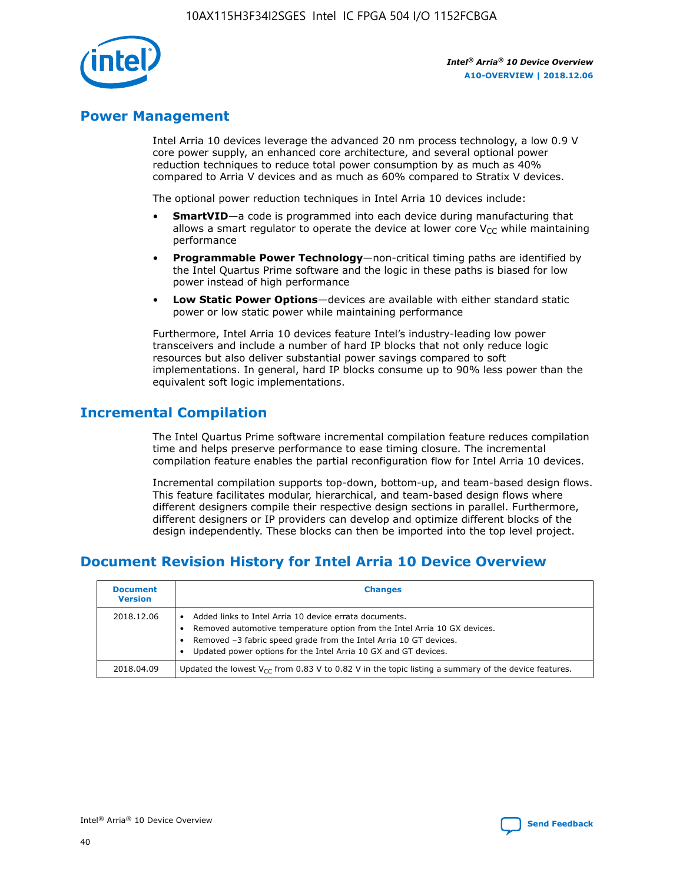

## **Power Management**

Intel Arria 10 devices leverage the advanced 20 nm process technology, a low 0.9 V core power supply, an enhanced core architecture, and several optional power reduction techniques to reduce total power consumption by as much as 40% compared to Arria V devices and as much as 60% compared to Stratix V devices.

The optional power reduction techniques in Intel Arria 10 devices include:

- **SmartVID**—a code is programmed into each device during manufacturing that allows a smart regulator to operate the device at lower core  $V_{CC}$  while maintaining performance
- **Programmable Power Technology**—non-critical timing paths are identified by the Intel Quartus Prime software and the logic in these paths is biased for low power instead of high performance
- **Low Static Power Options**—devices are available with either standard static power or low static power while maintaining performance

Furthermore, Intel Arria 10 devices feature Intel's industry-leading low power transceivers and include a number of hard IP blocks that not only reduce logic resources but also deliver substantial power savings compared to soft implementations. In general, hard IP blocks consume up to 90% less power than the equivalent soft logic implementations.

## **Incremental Compilation**

The Intel Quartus Prime software incremental compilation feature reduces compilation time and helps preserve performance to ease timing closure. The incremental compilation feature enables the partial reconfiguration flow for Intel Arria 10 devices.

Incremental compilation supports top-down, bottom-up, and team-based design flows. This feature facilitates modular, hierarchical, and team-based design flows where different designers compile their respective design sections in parallel. Furthermore, different designers or IP providers can develop and optimize different blocks of the design independently. These blocks can then be imported into the top level project.

# **Document Revision History for Intel Arria 10 Device Overview**

| <b>Document</b><br><b>Version</b> | <b>Changes</b>                                                                                                                                                                                                                                                              |
|-----------------------------------|-----------------------------------------------------------------------------------------------------------------------------------------------------------------------------------------------------------------------------------------------------------------------------|
| 2018.12.06                        | Added links to Intel Arria 10 device errata documents.<br>Removed automotive temperature option from the Intel Arria 10 GX devices.<br>Removed -3 fabric speed grade from the Intel Arria 10 GT devices.<br>Updated power options for the Intel Arria 10 GX and GT devices. |
| 2018.04.09                        | Updated the lowest $V_{CC}$ from 0.83 V to 0.82 V in the topic listing a summary of the device features.                                                                                                                                                                    |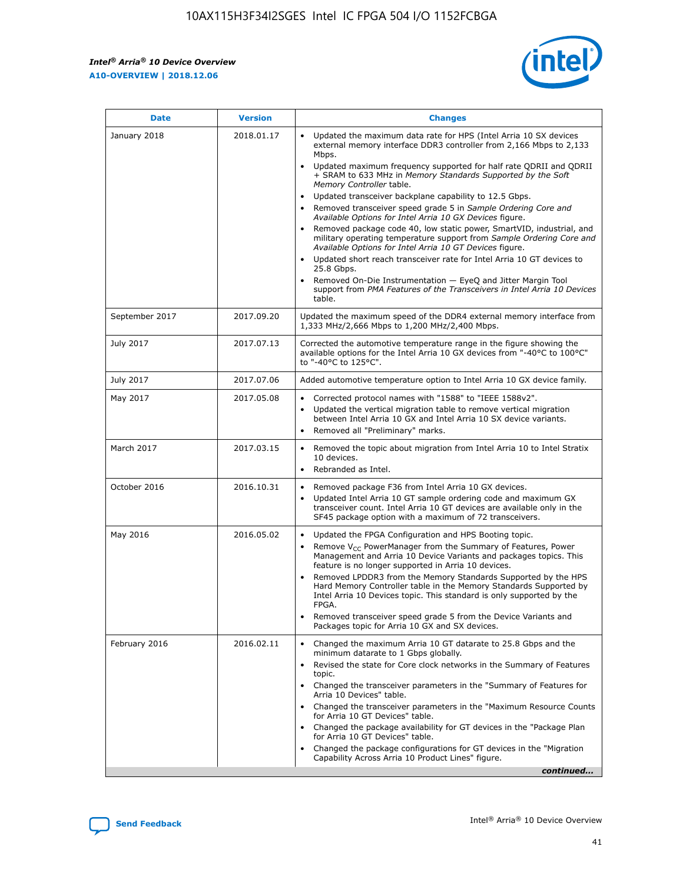*Intel® Arria® 10 Device Overview* **A10-OVERVIEW | 2018.12.06**



| <b>Date</b>    | <b>Version</b> | <b>Changes</b>                                                                                                                                                                                                                                                                                                                                                                                                                                                                                                                                                                                                                                                                                                                                                                                                                                                                                                                                                            |
|----------------|----------------|---------------------------------------------------------------------------------------------------------------------------------------------------------------------------------------------------------------------------------------------------------------------------------------------------------------------------------------------------------------------------------------------------------------------------------------------------------------------------------------------------------------------------------------------------------------------------------------------------------------------------------------------------------------------------------------------------------------------------------------------------------------------------------------------------------------------------------------------------------------------------------------------------------------------------------------------------------------------------|
| January 2018   | 2018.01.17     | Updated the maximum data rate for HPS (Intel Arria 10 SX devices<br>external memory interface DDR3 controller from 2,166 Mbps to 2,133<br>Mbps.<br>Updated maximum frequency supported for half rate QDRII and QDRII<br>+ SRAM to 633 MHz in Memory Standards Supported by the Soft<br>Memory Controller table.<br>Updated transceiver backplane capability to 12.5 Gbps.<br>$\bullet$<br>Removed transceiver speed grade 5 in Sample Ordering Core and<br>Available Options for Intel Arria 10 GX Devices figure.<br>Removed package code 40, low static power, SmartVID, industrial, and<br>military operating temperature support from Sample Ordering Core and<br>Available Options for Intel Arria 10 GT Devices figure.<br>Updated short reach transceiver rate for Intel Arria 10 GT devices to<br>25.8 Gbps.<br>Removed On-Die Instrumentation - EyeQ and Jitter Margin Tool<br>support from PMA Features of the Transceivers in Intel Arria 10 Devices<br>table. |
| September 2017 | 2017.09.20     | Updated the maximum speed of the DDR4 external memory interface from<br>1,333 MHz/2,666 Mbps to 1,200 MHz/2,400 Mbps.                                                                                                                                                                                                                                                                                                                                                                                                                                                                                                                                                                                                                                                                                                                                                                                                                                                     |
| July 2017      | 2017.07.13     | Corrected the automotive temperature range in the figure showing the<br>available options for the Intel Arria 10 GX devices from "-40°C to 100°C"<br>to "-40°C to 125°C".                                                                                                                                                                                                                                                                                                                                                                                                                                                                                                                                                                                                                                                                                                                                                                                                 |
| July 2017      | 2017.07.06     | Added automotive temperature option to Intel Arria 10 GX device family.                                                                                                                                                                                                                                                                                                                                                                                                                                                                                                                                                                                                                                                                                                                                                                                                                                                                                                   |
| May 2017       | 2017.05.08     | Corrected protocol names with "1588" to "IEEE 1588v2".<br>Updated the vertical migration table to remove vertical migration<br>between Intel Arria 10 GX and Intel Arria 10 SX device variants.<br>Removed all "Preliminary" marks.                                                                                                                                                                                                                                                                                                                                                                                                                                                                                                                                                                                                                                                                                                                                       |
| March 2017     | 2017.03.15     | Removed the topic about migration from Intel Arria 10 to Intel Stratix<br>10 devices.<br>Rebranded as Intel.<br>$\bullet$                                                                                                                                                                                                                                                                                                                                                                                                                                                                                                                                                                                                                                                                                                                                                                                                                                                 |
| October 2016   | 2016.10.31     | Removed package F36 from Intel Arria 10 GX devices.<br>Updated Intel Arria 10 GT sample ordering code and maximum GX<br>$\bullet$<br>transceiver count. Intel Arria 10 GT devices are available only in the<br>SF45 package option with a maximum of 72 transceivers.                                                                                                                                                                                                                                                                                                                                                                                                                                                                                                                                                                                                                                                                                                     |
| May 2016       | 2016.05.02     | Updated the FPGA Configuration and HPS Booting topic.<br>Remove V <sub>CC</sub> PowerManager from the Summary of Features, Power<br>Management and Arria 10 Device Variants and packages topics. This<br>feature is no longer supported in Arria 10 devices.<br>Removed LPDDR3 from the Memory Standards Supported by the HPS<br>Hard Memory Controller table in the Memory Standards Supported by<br>Intel Arria 10 Devices topic. This standard is only supported by the<br>FPGA.<br>Removed transceiver speed grade 5 from the Device Variants and<br>Packages topic for Arria 10 GX and SX devices.                                                                                                                                                                                                                                                                                                                                                                   |
| February 2016  | 2016.02.11     | Changed the maximum Arria 10 GT datarate to 25.8 Gbps and the<br>minimum datarate to 1 Gbps globally.<br>Revised the state for Core clock networks in the Summary of Features<br>$\bullet$<br>topic.<br>Changed the transceiver parameters in the "Summary of Features for<br>Arria 10 Devices" table.<br>• Changed the transceiver parameters in the "Maximum Resource Counts<br>for Arria 10 GT Devices" table.<br>• Changed the package availability for GT devices in the "Package Plan<br>for Arria 10 GT Devices" table.<br>Changed the package configurations for GT devices in the "Migration"<br>Capability Across Arria 10 Product Lines" figure.<br>continued                                                                                                                                                                                                                                                                                                  |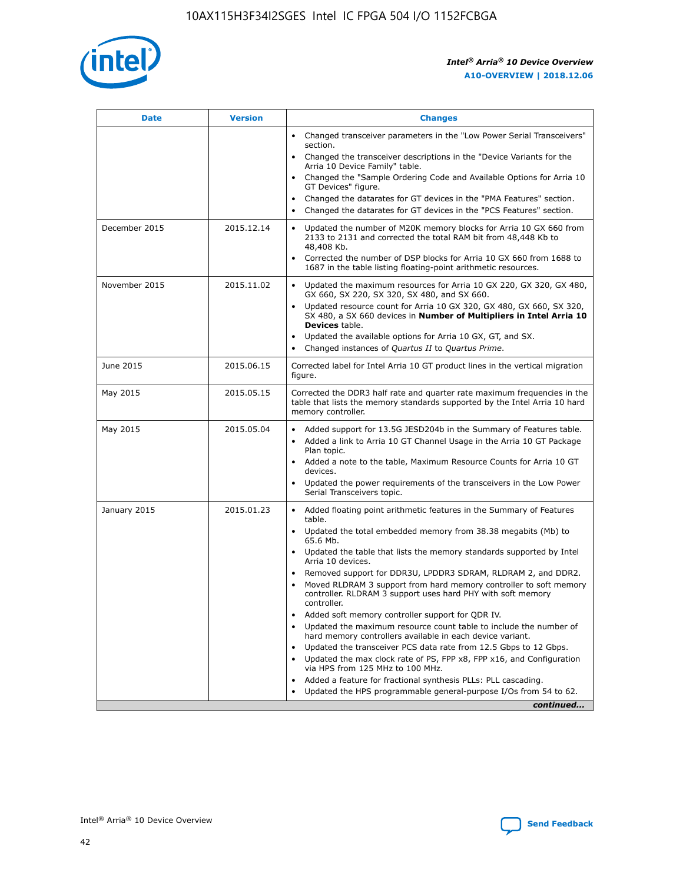

| <b>Date</b>   | <b>Version</b> | <b>Changes</b>                                                                                                                                                               |
|---------------|----------------|------------------------------------------------------------------------------------------------------------------------------------------------------------------------------|
|               |                | • Changed transceiver parameters in the "Low Power Serial Transceivers"<br>section.                                                                                          |
|               |                | • Changed the transceiver descriptions in the "Device Variants for the<br>Arria 10 Device Family" table.                                                                     |
|               |                | Changed the "Sample Ordering Code and Available Options for Arria 10<br>$\bullet$<br>GT Devices" figure.                                                                     |
|               |                | Changed the datarates for GT devices in the "PMA Features" section.                                                                                                          |
|               |                | Changed the datarates for GT devices in the "PCS Features" section.<br>$\bullet$                                                                                             |
| December 2015 | 2015.12.14     | Updated the number of M20K memory blocks for Arria 10 GX 660 from<br>2133 to 2131 and corrected the total RAM bit from 48,448 Kb to<br>48,408 Kb.                            |
|               |                | Corrected the number of DSP blocks for Arria 10 GX 660 from 1688 to<br>1687 in the table listing floating-point arithmetic resources.                                        |
| November 2015 | 2015.11.02     | Updated the maximum resources for Arria 10 GX 220, GX 320, GX 480,<br>$\bullet$<br>GX 660, SX 220, SX 320, SX 480, and SX 660.                                               |
|               |                | • Updated resource count for Arria 10 GX 320, GX 480, GX 660, SX 320,<br>SX 480, a SX 660 devices in Number of Multipliers in Intel Arria 10<br><b>Devices</b> table.        |
|               |                | Updated the available options for Arria 10 GX, GT, and SX.                                                                                                                   |
|               |                | Changed instances of Quartus II to Quartus Prime.<br>$\bullet$                                                                                                               |
| June 2015     | 2015.06.15     | Corrected label for Intel Arria 10 GT product lines in the vertical migration<br>figure.                                                                                     |
| May 2015      | 2015.05.15     | Corrected the DDR3 half rate and quarter rate maximum frequencies in the<br>table that lists the memory standards supported by the Intel Arria 10 hard<br>memory controller. |
| May 2015      | 2015.05.04     | • Added support for 13.5G JESD204b in the Summary of Features table.                                                                                                         |
|               |                | • Added a link to Arria 10 GT Channel Usage in the Arria 10 GT Package<br>Plan topic.                                                                                        |
|               |                | • Added a note to the table, Maximum Resource Counts for Arria 10 GT<br>devices.                                                                                             |
|               |                | • Updated the power requirements of the transceivers in the Low Power<br>Serial Transceivers topic.                                                                          |
| January 2015  | 2015.01.23     | • Added floating point arithmetic features in the Summary of Features<br>table.                                                                                              |
|               |                | • Updated the total embedded memory from 38.38 megabits (Mb) to<br>65.6 Mb.                                                                                                  |
|               |                | • Updated the table that lists the memory standards supported by Intel<br>Arria 10 devices.                                                                                  |
|               |                | Removed support for DDR3U, LPDDR3 SDRAM, RLDRAM 2, and DDR2.                                                                                                                 |
|               |                | Moved RLDRAM 3 support from hard memory controller to soft memory<br>controller. RLDRAM 3 support uses hard PHY with soft memory<br>controller.                              |
|               |                | Added soft memory controller support for QDR IV.<br>٠                                                                                                                        |
|               |                | Updated the maximum resource count table to include the number of<br>hard memory controllers available in each device variant.                                               |
|               |                | Updated the transceiver PCS data rate from 12.5 Gbps to 12 Gbps.<br>$\bullet$                                                                                                |
|               |                | Updated the max clock rate of PS, FPP x8, FPP x16, and Configuration<br>via HPS from 125 MHz to 100 MHz.                                                                     |
|               |                | Added a feature for fractional synthesis PLLs: PLL cascading.                                                                                                                |
|               |                | Updated the HPS programmable general-purpose I/Os from 54 to 62.<br>$\bullet$                                                                                                |
|               |                | continued                                                                                                                                                                    |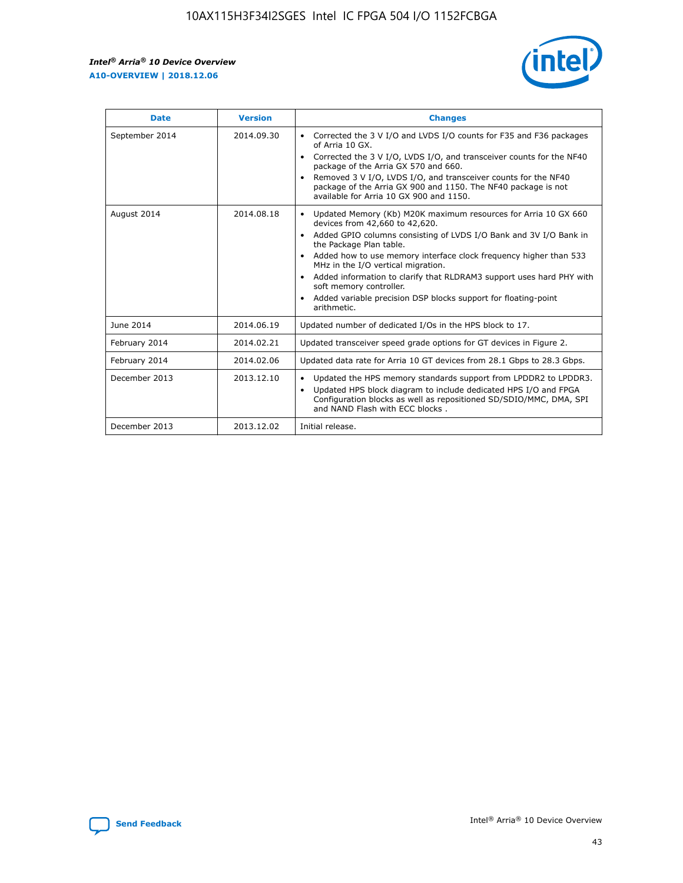r



| <b>Date</b>    | <b>Version</b> | <b>Changes</b>                                                                                                                                                                                                                                                                                                                                                                                                                                                                                                                                      |
|----------------|----------------|-----------------------------------------------------------------------------------------------------------------------------------------------------------------------------------------------------------------------------------------------------------------------------------------------------------------------------------------------------------------------------------------------------------------------------------------------------------------------------------------------------------------------------------------------------|
| September 2014 | 2014.09.30     | Corrected the 3 V I/O and LVDS I/O counts for F35 and F36 packages<br>$\bullet$<br>of Arria 10 GX.<br>Corrected the 3 V I/O, LVDS I/O, and transceiver counts for the NF40<br>$\bullet$<br>package of the Arria GX 570 and 660.<br>Removed 3 V I/O, LVDS I/O, and transceiver counts for the NF40<br>package of the Arria GX 900 and 1150. The NF40 package is not<br>available for Arria 10 GX 900 and 1150.                                                                                                                                       |
| August 2014    | 2014.08.18     | Updated Memory (Kb) M20K maximum resources for Arria 10 GX 660<br>devices from 42,660 to 42,620.<br>Added GPIO columns consisting of LVDS I/O Bank and 3V I/O Bank in<br>$\bullet$<br>the Package Plan table.<br>Added how to use memory interface clock frequency higher than 533<br>$\bullet$<br>MHz in the I/O vertical migration.<br>Added information to clarify that RLDRAM3 support uses hard PHY with<br>$\bullet$<br>soft memory controller.<br>Added variable precision DSP blocks support for floating-point<br>$\bullet$<br>arithmetic. |
| June 2014      | 2014.06.19     | Updated number of dedicated I/Os in the HPS block to 17.                                                                                                                                                                                                                                                                                                                                                                                                                                                                                            |
| February 2014  | 2014.02.21     | Updated transceiver speed grade options for GT devices in Figure 2.                                                                                                                                                                                                                                                                                                                                                                                                                                                                                 |
| February 2014  | 2014.02.06     | Updated data rate for Arria 10 GT devices from 28.1 Gbps to 28.3 Gbps.                                                                                                                                                                                                                                                                                                                                                                                                                                                                              |
| December 2013  | 2013.12.10     | Updated the HPS memory standards support from LPDDR2 to LPDDR3.<br>Updated HPS block diagram to include dedicated HPS I/O and FPGA<br>$\bullet$<br>Configuration blocks as well as repositioned SD/SDIO/MMC, DMA, SPI<br>and NAND Flash with ECC blocks.                                                                                                                                                                                                                                                                                            |
| December 2013  | 2013.12.02     | Initial release.                                                                                                                                                                                                                                                                                                                                                                                                                                                                                                                                    |